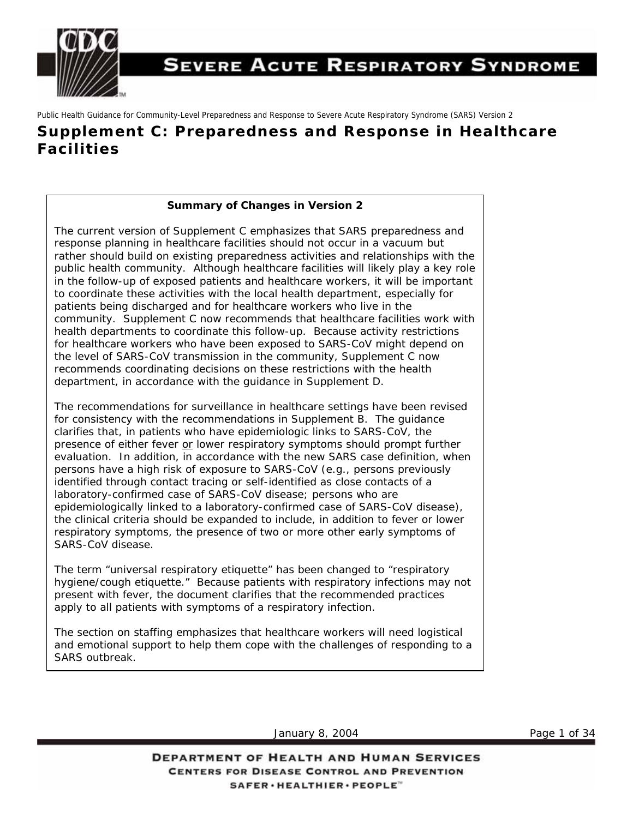

## **SEVERE ACUTE RESPIRATORY SYNDROME**

Public Health Guidance for Community-Level Preparedness and Response to Severe Acute Respiratory Syndrome (SARS) Version 2

## **Supplement C: Preparedness and Response in Healthcare Facilities**

#### **Summary of Changes in Version 2**

The current version of Supplement C emphasizes that SARS preparedness and response planning in healthcare facilities should not occur in a vacuum but rather should build on existing preparedness activities and relationships with the [public health community. Although healthcare facilities will likely play a key role](#page-7-0) in the follow-up of exposed patients and healthcare workers, it will be important to coordinate these activities with the local health department, especially for patients being discharged and for healthcare workers who live in the community. Supplement C now recommends that healthcare facilities work with health departments to coordinate this follow-up. Because activity restrictions for healthcare workers who have been exposed to SARS-CoV might depend on the level of SARS-CoV transmission in the community, Supplement C now recommends coordinating decisions on these restrictions with the health department, in accordance with the guidance in Supplement D.

The recommendations for surveillance in healthcare settings have been revised for consistency with the recommendations in Supplement B. The guidance clarifies that, in patients who have epidemiologic links to SARS-CoV, the presence of either fever or lower respiratory symptoms should prompt further evaluation. In addition, in accordance with the new SARS case definition, when persons have a high risk of exposure to SARS-CoV (e.g., persons previously identified through contact tracing or self-identified as close contacts of a laboratory-confirmed case of SARS-CoV disease; persons who are epidemiologically linked to a laboratory-confirmed case of SARS-CoV disease), the clinical criteria should be expanded to include, in addition to fever or lower respiratory symptoms, the presence of two or more other early symptoms of SARS-CoV disease.

The term "universal respiratory etiquette" has been changed to "respiratory hygiene/cough etiquette." Because patients with respiratory infections may not present with fever, the document clarifies that the recommended practices apply to all patients with symptoms of a respiratory infection.

The section on staffing emphasizes that healthcare workers will need logistical and emotional support to help them cope with the challenges of responding to a SARS outbreak.

January 8, 2004 **Page 1 of 34**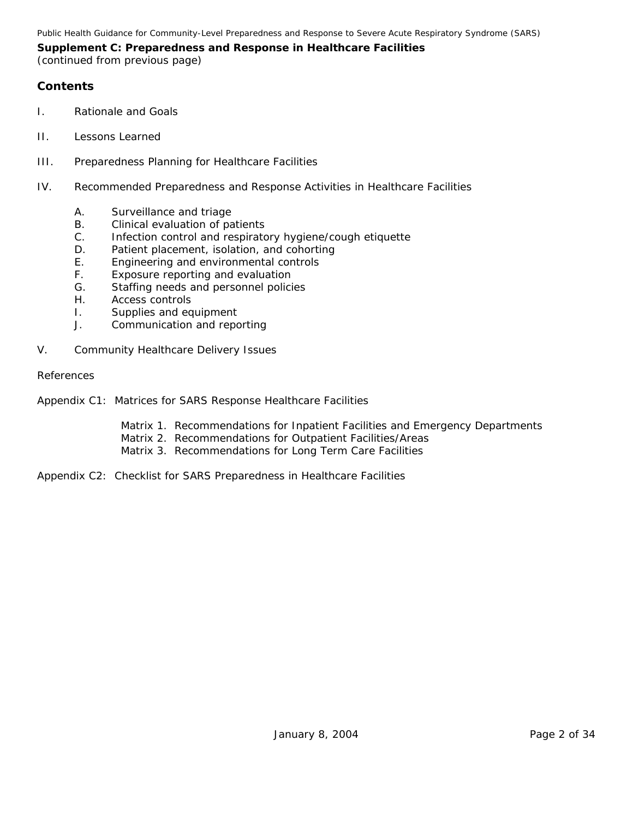#### **Contents**

- I. Rationale and Goals
- II. Lessons Learned
- III. Preparedness Planning for Healthcare Facilities
- IV. Recommended Preparedness and Response Activities in Healthcare Facilities
	- A. Surveillance and triage
	- B. Clinical evaluation of patients
	- C. Infection control and respiratory hygiene/cough etiquette
	- D. Patient placement, isolation, and cohorting
	- E. Engineering and environmental controls
	- F. Exposure reporting and evaluation
	- G. Staffing needs and personnel policies
	- H. Access controls
	- I. Supplies and equipment
	- J. Communication and reporting
- V. Community Healthcare Delivery Issues

#### References

- Appendix C1: Matrices for SARS Response Healthcare Facilities
	- Matrix 1. Recommendations for Inpatient Facilities and Emergency Departments
	- Matrix 2. Recommendations for Outpatient Facilities/Areas
	- Matrix 3. Recommendations for Long Term Care Facilities
- Appendix C2: Checklist for SARS Preparedness in Healthcare Facilities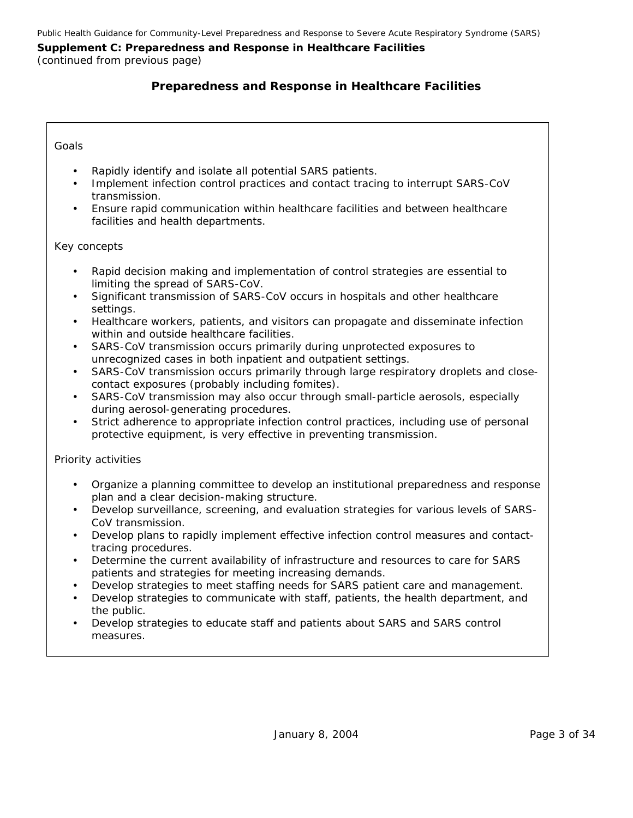### **Preparedness and Response in Healthcare Facilities**

#### *Goals*

- Rapidly identify and isolate all potential SARS patients.
- Implement infection control practices and contact tracing to interrupt SARS-CoV transmission.
- Ensure rapid communication within healthcare facilities and between healthcare facilities and health departments.

#### *Key concepts*

- Rapid decision making and implementation of control strategies are essential to limiting the spread of SARS-CoV.
- Significant transmission of SARS-CoV occurs in hospitals and other healthcare settings.
- Healthcare workers, patients, and visitors can propagate and disseminate infection within and outside healthcare facilities.
- SARS-CoV transmission occurs primarily during unprotected exposures to unrecognized cases in both inpatient and outpatient settings.
- SARS-CoV transmission occurs primarily through large respiratory droplets and closecontact exposures (probably including fomites).
- SARS-CoV transmission may also occur through small-particle aerosols, especially during aerosol-generating procedures.
- Strict adherence to appropriate infection control practices, including use of personal protective equipment, is very effective in preventing transmission.

#### *Priority activities*

- Organize a planning committee to develop an institutional preparedness and response plan and a clear decision-making structure.
- Develop surveillance, screening, and evaluation strategies for various levels of SARS-CoV transmission.
- Develop plans to rapidly implement effective infection control measures and contacttracing procedures.
- Determine the current availability of infrastructure and resources to care for SARS patients and strategies for meeting increasing demands.
- Develop strategies to meet staffing needs for SARS patient care and management.
- Develop strategies to communicate with staff, patients, the health department, and the public.
- Develop strategies to educate staff and patients about SARS and SARS control measures.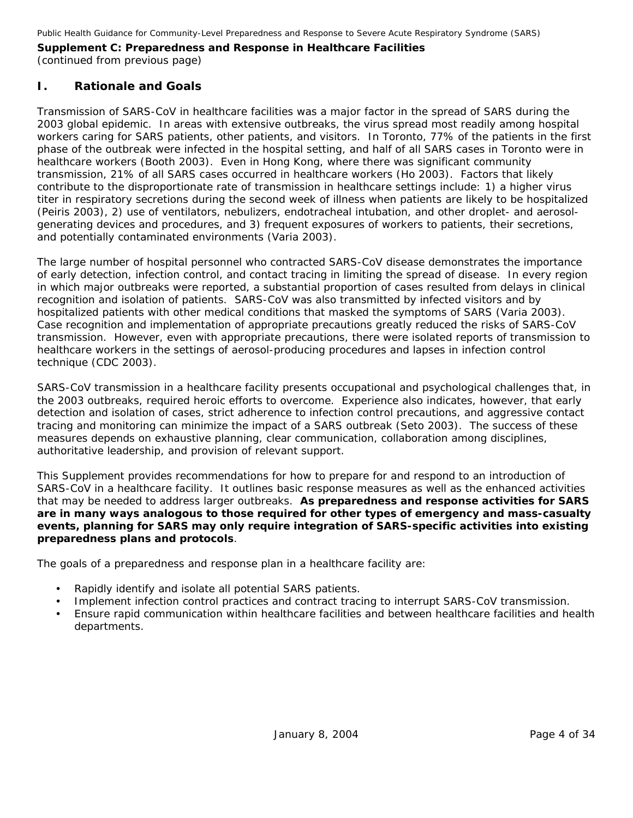## **I. Rationale and Goals**

Transmission of SARS-CoV in healthcare facilities was a major factor in the spread of SARS during the 2003 global epidemic. In areas with extensive outbreaks, the virus spread most readily among hospital workers caring for SARS patients, other patients, and visitors. In Toronto, 77% of the patients in the first phase of the outbreak were infected in the hospital setting, and half of all SARS cases in Toronto were in healthcare workers (Booth 2003). Even in Hong Kong, where there was significant community transmission, 21% of all SARS cases occurred in healthcare workers (Ho 2003). Factors that likely contribute to the disproportionate rate of transmission in healthcare settings include: 1) a higher virus titer in respiratory secretions during the second week of illness when patients are likely to be hospitalized (Peiris 2003), 2) use of ventilators, nebulizers, endotracheal intubation, and other droplet- and aerosolgenerating devices and procedures, and 3) frequent exposures of workers to patients, their secretions, and potentially contaminated environments (Varia 2003).

The large number of hospital personnel who contracted SARS-CoV disease demonstrates the importance of early detection, infection control, and contact tracing in limiting the spread of disease. In every region in which major outbreaks were reported, a substantial proportion of cases resulted from delays in clinical recognition and isolation of patients. SARS-CoV was also transmitted by infected visitors and by hospitalized patients with other medical conditions that masked the symptoms of SARS (Varia 2003). Case recognition and implementation of appropriate precautions greatly reduced the risks of SARS-CoV transmission. However, even with appropriate precautions, there were isolated reports of transmission to healthcare workers in the settings of aerosol-producing procedures and lapses in infection control technique (CDC 2003).

SARS-CoV transmission in a healthcare facility presents occupational and psychological challenges that, in the 2003 outbreaks, required heroic efforts to overcome. Experience also indicates, however, that early detection and isolation of cases, strict adherence to infection control precautions, and aggressive contact tracing and monitoring can minimize the impact of a SARS outbreak (Seto 2003). The success of these measures depends on exhaustive planning, clear communication, collaboration among disciplines, authoritative leadership, and provision of relevant support.

This Supplement provides recommendations for how to prepare for and respond to an introduction of SARS-CoV in a healthcare facility. It outlines basic response measures as well as the enhanced activities that may be needed to address larger outbreaks. **As preparedness and response activities for SARS are in many ways analogous to those required for other types of emergency and mass-casualty events, planning for SARS may only require integration of SARS-specific activities into existing preparedness plans and protocols**.

The goals of a preparedness and response plan in a healthcare facility are:

- Rapidly identify and isolate all potential SARS patients.
- Implement infection control practices and contract tracing to interrupt SARS-CoV transmission.
- Ensure rapid communication within healthcare facilities and between healthcare facilities and health departments.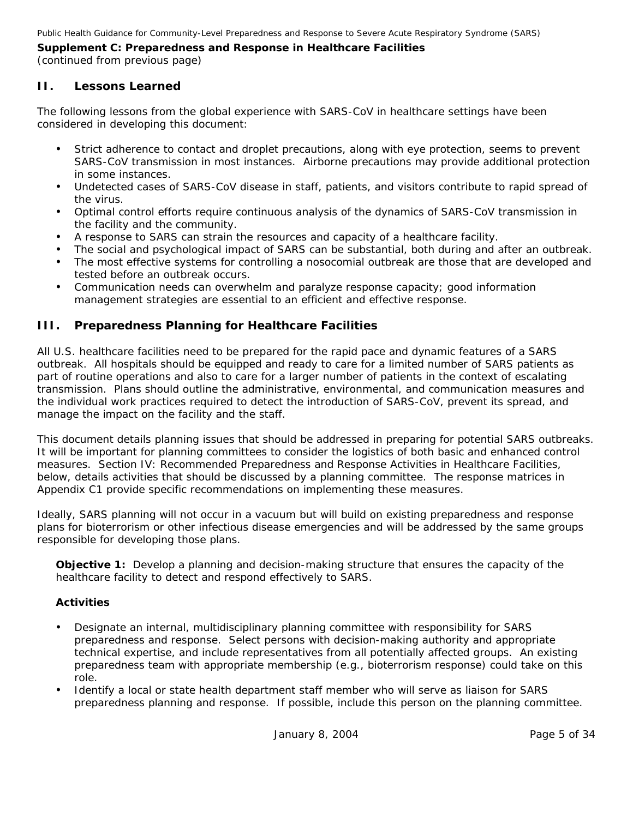### **II. Lessons Learned**

The following lessons from the global experience with SARS-CoV in healthcare settings have been considered in developing this document:

- Strict adherence to contact and droplet precautions, along with eye protection, seems to prevent SARS-CoV transmission in most instances. Airborne precautions may provide additional protection in some instances.
- Undetected cases of SARS-CoV disease in staff, patients, and visitors contribute to rapid spread of the virus.
- y Optimal control efforts require continuous analysis of the dynamics of SARS-CoV transmission in the facility and the community.
- A response to SARS can strain the resources and capacity of a healthcare facility.
- The social and psychological impact of SARS can be substantial, both during and after an outbreak.
- The most effective systems for controlling a nosocomial outbreak are those that are developed and tested before an outbreak occurs.
- Communication needs can overwhelm and paralyze response capacity; good information management strategies are essential to an efficient and effective response.

## **III. Preparedness Planning for Healthcare Facilities**

All U.S. healthcare facilities need to be prepared for the rapid pace and dynamic features of a SARS outbreak. All hospitals should be equipped and ready to care for a limited number of SARS patients as part of routine operations and also to care for a larger number of patients in the context of escalating transmission. Plans should outline the administrative, environmental, and communication measures and the individual work practices required to detect the introduction of SARS-CoV, prevent its spread, and manage the impact on the facility and the staff.

This document details planning issues that should be addressed in preparing for potential SARS outbreaks. It will be important for planning committees to consider the logistics of both basic and enhanced control measures. Section IV: Recommended Preparedness and Response Activities in Healthcare Facilities, below, details activities that should be discussed by a planning committee. The response matrices in Appendix C1 provide specific recommendations on implementing these measures.

Ideally, SARS planning will not occur in a vacuum but will build on existing preparedness and response plans for bioterrorism or other infectious disease emergencies and will be addressed by the same groups responsible for developing those plans.

**Objective 1:** Develop a planning and decision-making structure that ensures the capacity of the healthcare facility to detect and respond effectively to SARS.

- Designate an internal, multidisciplinary planning committee with responsibility for SARS preparedness and response. Select persons with decision-making authority and appropriate technical expertise, and include representatives from all potentially affected groups. An existing preparedness team with appropriate membership (e.g., bioterrorism response) could take on this role.
- Identify a local or state health department staff member who will serve as liaison for SARS preparedness planning and response. If possible, include this person on the planning committee.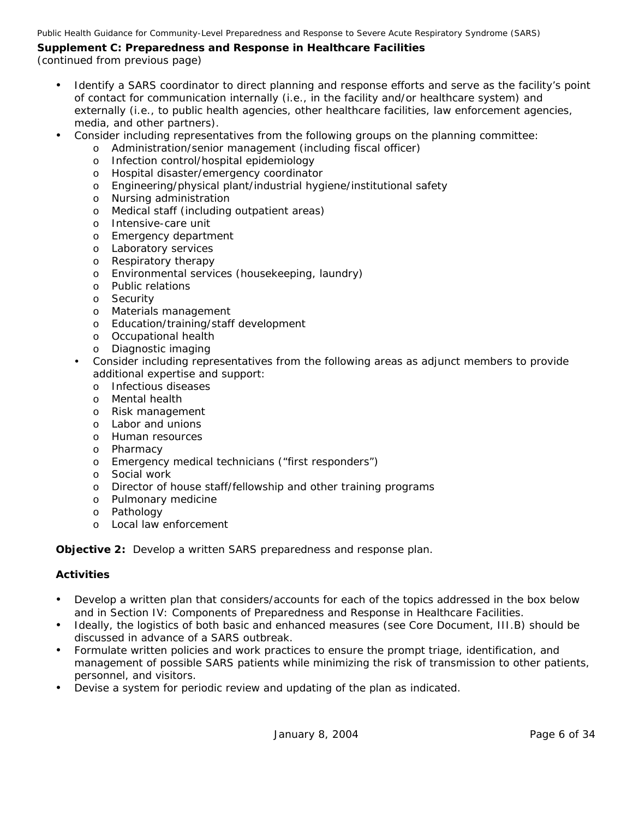Public Health Guidance for Community-Level Preparedness and Response to Severe Acute Respiratory Syndrome (SARS)

## **Supplement C: Preparedness and Response in Healthcare Facilities**

(continued from previous page)

- Identify a SARS coordinator to direct planning and response efforts and serve as the facility's point of contact for communication internally (i.e., in the facility and/or healthcare system) and externally (i.e., to public health agencies, other healthcare facilities, law enforcement agencies, media, and other partners).
- Consider including representatives from the following groups on the planning committee:
	- o Administration/senior management (including fiscal officer)
	- o Infection control/hospital epidemiology
	- o Hospital disaster/emergency coordinator
	- o Engineering/physical plant/industrial hygiene/institutional safety
	- o Nursing administration
	- o Medical staff (including outpatient areas)
	- o Intensive-care unit
	- o Emergency department
	- o Laboratory services
	- o Respiratory therapy
	- o Environmental services (housekeeping, laundry)
	- o Public relations
	- o Security
	- o Materials management
	- o Education/training/staff development
	- o Occupational health
	- o Diagnostic imaging
	- Consider including representatives from the following areas as adjunct members to provide additional expertise and support:
		- o Infectious diseases
		- o Mental health
		- o Risk management
		- o Labor and unions
		- o Human resources
		- o Pharmacy
		- o Emergency medical technicians ("first responders")
		- o Social work
		- o Director of house staff/fellowship and other training programs
		- o Pulmonary medicine
		- o Pathology
		- o Local law enforcement

**Objective 2:** Develop a written SARS preparedness and response plan.

- Develop a written plan that considers/accounts for each of the topics addressed in the box below and in Section IV: Components of Preparedness and Response in Healthcare Facilities.
- Ideally, the logistics of both basic and enhanced measures (see Core Document, III.B) should be discussed in advance of a SARS outbreak.
- Formulate written policies and work practices to ensure the prompt triage, identification, and management of possible SARS patients while minimizing the risk of transmission to other patients, personnel, and visitors.
- Devise a system for periodic review and updating of the plan as indicated.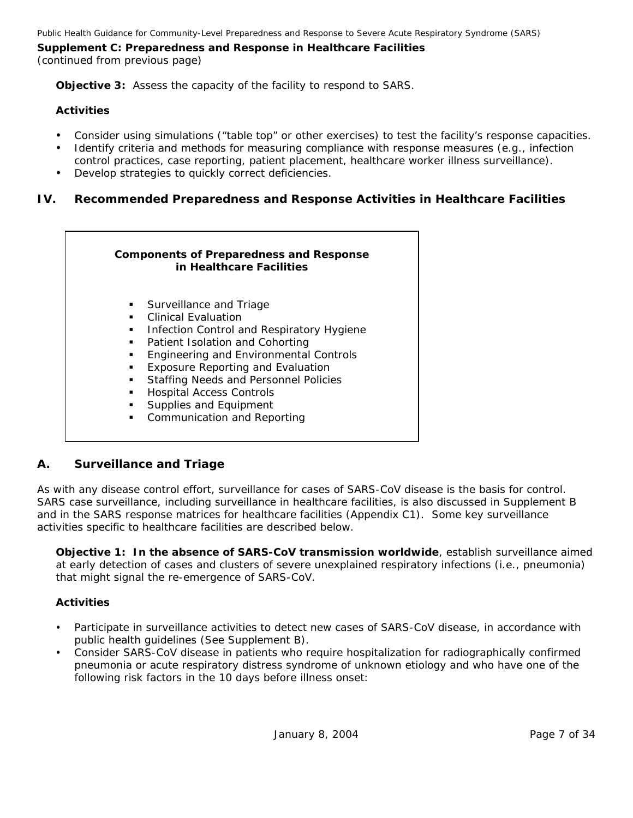**Objective 3:** Assess the capacity of the facility to respond to SARS.

#### **Activities**

- Consider using simulations ("table top" or other exercises) to test the facility's response capacities.
- Identify criteria and methods for measuring compliance with response measures (e.g., infection control practices, case reporting, patient placement, healthcare worker illness surveillance).
- Develop strategies to quickly correct deficiencies.

#### **IV. Recommended Preparedness and Response Activities in Healthcare Facilities**

## **Components of Preparedness and Response in Healthcare Facilities Surveillance and Triage Clinical Evaluation Infection Control and Respiratory Hygiene Patient Isolation and Cohorting Engineering and Environmental Controls Exposure Reporting and Evaluation Staffing Needs and Personnel Policies Hospital Access Controls Supplies and Equipment • Communication and Reporting**

#### *A. Surveillance and Triage*

As with any disease control effort, surveillance for cases of SARS-CoV disease is the basis for control. SARS case surveillance, including surveillance in healthcare facilities, is also discussed in Supplement B and in the SARS response matrices for healthcare facilities (Appendix C1). Some key surveillance activities specific to healthcare facilities are described below.

**Objective 1:** *In the absence of SARS-CoV transmission worldwide*, establish surveillance aimed at early detection of cases and clusters of severe unexplained respiratory infections (i.e., pneumonia) that might signal the re-emergence of SARS-CoV.

- Participate in surveillance activities to detect new cases of SARS-CoV disease, in accordance with public health guidelines (See Supplement B).
- Consider SARS-CoV disease in patients who require hospitalization for radiographically confirmed pneumonia or acute respiratory distress syndrome of unknown etiology and who have one of the following risk factors in the 10 days before illness onset: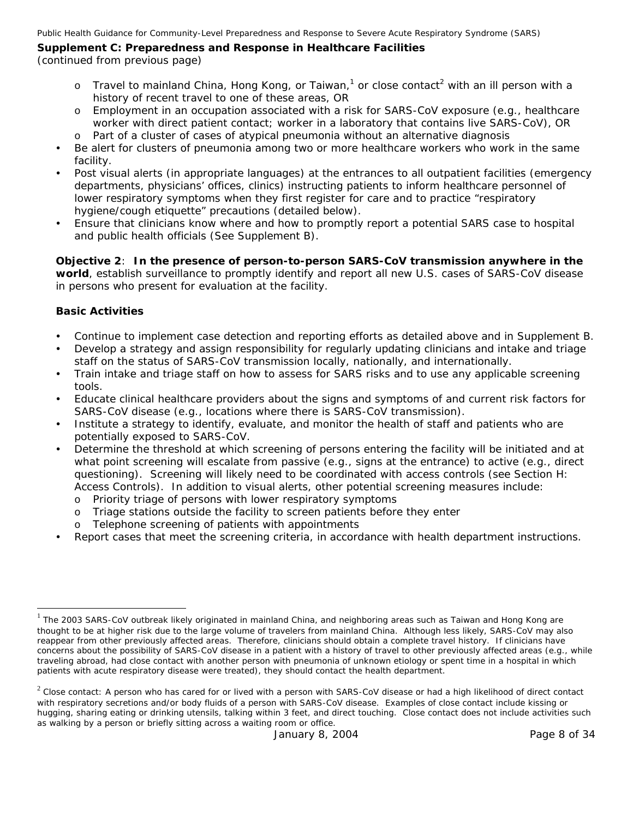Public Health Guidance for Community-Level Preparedness and Response to Severe Acute Respiratory Syndrome (SARS)

## **Supplement C: Preparedness and Response in Healthcare Facilities**

(continued from previous page)

- $\circ$  Travel to mainland China, Hong Kong, or Taiwan,<sup>[1](#page-7-0)</sup> or close contact<sup>[2](#page-7-1)</sup> with an ill person with a history of recent travel to one of these areas, *OR*
- o Employment in an occupation associated with a risk for SARS-CoV exposure (e.g., healthcare worker with direct patient contact; worker in a laboratory that contains live SARS-CoV), *OR*  Part of a cluster of cases of atypical pneumonia without an alternative diagnosis
- Be alert for clusters of pneumonia among two or more healthcare workers who work in the same facility.
- Post visual alerts (in appropriate languages) at the entrances to all outpatient facilities (emergency departments, physicians' offices, clinics) instructing patients to inform healthcare personnel of lower respiratory symptoms when they first register for care and to practice "respiratory hygiene/cough etiquette" precautions (detailed below).
- Ensure that clinicians know where and how to promptly report a potential SARS case to hospital and public health officials (See Supplement B).

**Objective 2**: **In the** *presence* **of person-to-person SARS-CoV transmission anywhere in the world**, establish surveillance to promptly identify and report all new U.S. cases of SARS-CoV disease in persons who present for evaluation at the facility.

#### **Basic Activities**

-

- Continue to implement case detection and reporting efforts as detailed above and in Supplement B.
- Develop a strategy and assign responsibility for regularly updating clinicians and intake and triage staff on the status of SARS-CoV transmission locally, nationally, and internationally.
- Train intake and triage staff on how to assess for SARS risks and to use any applicable screening tools.
- Educate clinical healthcare providers about the signs and symptoms of and current risk factors for SARS-CoV disease (e.g., locations where there is SARS-CoV transmission).
- Institute a strategy to identify, evaluate, and monitor the health of staff and patients who are potentially exposed to SARS-CoV.
- Determine the threshold at which screening of persons entering the facility will be initiated and at what point screening will escalate from passive (e.g., signs at the entrance) to active (e.g., direct questioning). Screening will likely need to be coordinated with access controls (see Section H: Access Controls). In addition to visual alerts, other potential screening measures include:
	- o Priority triage of persons with lower respiratory symptoms
	- o Triage stations outside the facility to screen patients before they enter
	- o Telephone screening of patients with appointments
- Report cases that meet the screening criteria, in accordance with health department instructions.

<span id="page-7-0"></span> $1$  The 2003 SARS-CoV outbreak likely originated in mainland China, and neighboring areas such as Taiwan and Hong Kong are thought to be at higher risk due to the large volume of travelers from mainland China. Although less likely, SARS-CoV may also reappear from other previously affected areas. Therefore, clinicians should obtain a complete travel history. If clinicians have concerns about the possibility of SARS-CoV disease in a patient with a history of travel to other previously affected areas (e.g., while traveling abroad, had close contact with another person with pneumonia of unknown etiology or spent time in a hospital in which patients with acute respiratory disease were treated), they should contact the health department.

<span id="page-7-1"></span> $2$  Close contact: A person who has cared for or lived with a person with SARS-CoV disease or had a high likelihood of direct contact with respiratory secretions and/or body fluids of a person with SARS-CoV disease. Examples of close contact include kissing or hugging, sharing eating or drinking utensils, talking within 3 feet, and direct touching. Close contact does not include activities such as walking by a person or briefly sitting across a waiting room or office.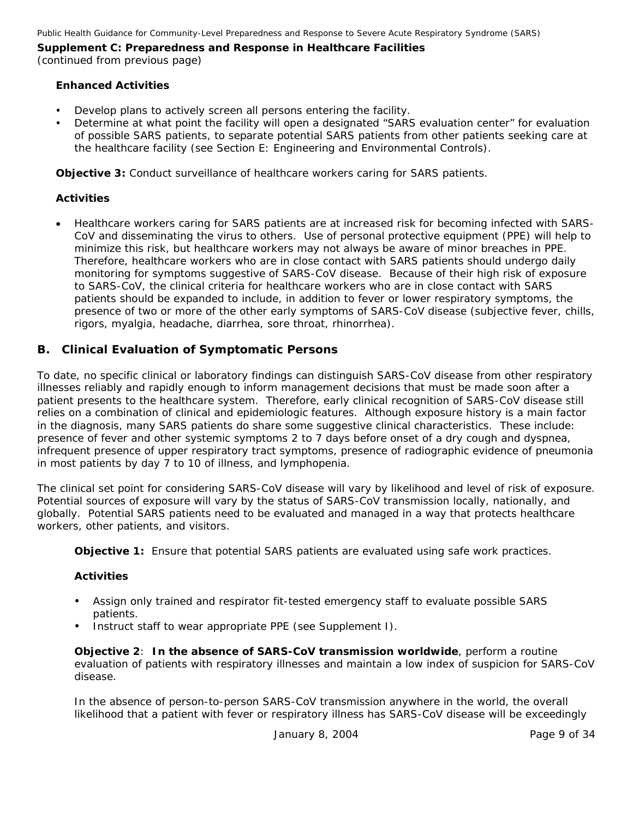#### **Enhanced Activities**

- Develop plans to actively screen all persons entering the facility.
- Determine at what point the facility will open a designated "SARS evaluation center" for evaluation of possible SARS patients, to separate potential SARS patients from other patients seeking care at the healthcare facility (see Section E: Engineering and Environmental Controls).

**Objective 3:** Conduct surveillance of healthcare workers caring for SARS patients.

#### **Activities**

• Healthcare workers caring for SARS patients are at increased risk for becoming infected with SARS-CoV and disseminating the virus to others. Use of personal protective equipment (PPE) will help to minimize this risk, but healthcare workers may not always be aware of minor breaches in PPE. Therefore, healthcare workers who are in close contact with SARS patients should undergo daily monitoring for symptoms suggestive of SARS-CoV disease. Because of their high risk of exposure to SARS-CoV, the clinical criteria for healthcare workers who are in close contact with SARS patients should be expanded to include, in addition to fever or lower respiratory symptoms, the presence of two or more of the other early symptoms of SARS-CoV disease (subjective fever, chills, rigors, myalgia, headache, diarrhea, sore throat, rhinorrhea).

#### *B. Clinical Evaluation of Symptomatic Persons*

To date, no specific clinical or laboratory findings can distinguish SARS-CoV disease from other respiratory illnesses reliably and rapidly enough to inform management decisions that must be made soon after a patient presents to the healthcare system. Therefore, *early clinical recognition of SARS-CoV disease still relies on a combination of clinical and epidemiologic features*. Although exposure history is a main factor in the diagnosis, many SARS patients do share some suggestive clinical characteristics. These include: presence of fever and other systemic symptoms 2 to 7 days before onset of a dry cough and dyspnea, infrequent presence of upper respiratory tract symptoms, presence of radiographic evidence of pneumonia in most patients by day 7 to 10 of illness, and lymphopenia.

The clinical set point for considering SARS-CoV disease will vary by likelihood and level of risk of exposure. Potential sources of exposure will vary by the status of SARS-CoV transmission locally, nationally, and globally. Potential SARS patients need to be evaluated and managed in a way that protects healthcare workers, other patients, and visitors.

**Objective 1:** Ensure that potential SARS patients are evaluated using safe work practices.

#### **Activities**

- Assign only trained and respirator fit-tested emergency staff to evaluate possible SARS patients.
- Instruct staff to wear appropriate PPE (see Supplement I).

**Objective 2**: **In the** *absence* **of SARS-CoV transmission worldwide**, perform a routine evaluation of patients with respiratory illnesses and maintain a low index of suspicion for SARS-CoV disease.

In the absence of person-to-person SARS-CoV transmission anywhere in the world, the overall likelihood that a patient with fever or respiratory illness has SARS-CoV disease will be exceedingly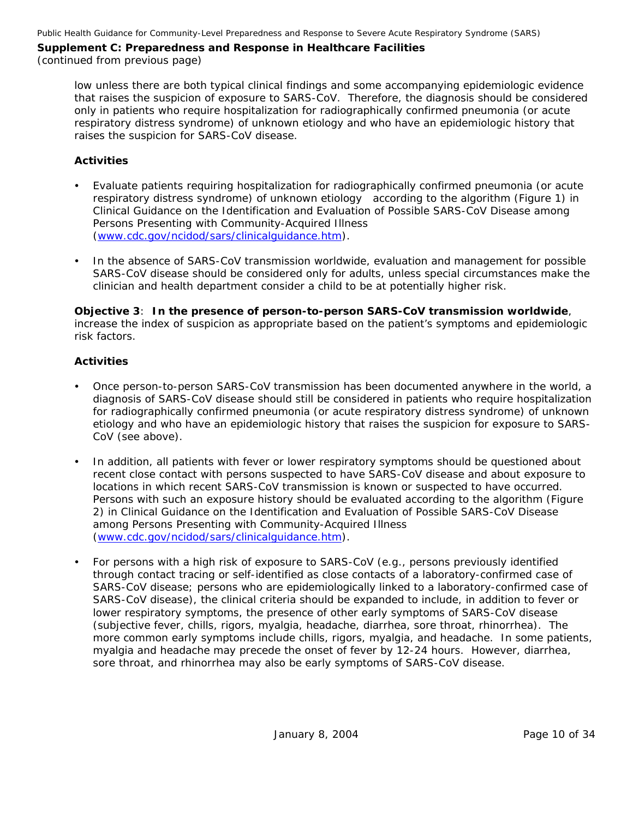(continued from previous page)

low unless there are both typical clinical findings and some accompanying epidemiologic evidence that raises the suspicion of exposure to SARS-CoV. Therefore, the diagnosis should be considered only in patients who require hospitalization for radiographically confirmed pneumonia (or acute respiratory distress syndrome) of unknown etiology and who have an epidemiologic history that raises the suspicion for SARS-CoV disease.

#### **Activities**

- y Evaluate patients requiring hospitalization for radiographically confirmed pneumonia (or acute respiratory distress syndrome) of unknown etiology according to the algorithm (Figure 1) in *Clinical Guidance on the Identification and Evaluation of Possible SARS-CoV Disease among Persons Presenting with Community-Acquired Illness* ([www.cdc.gov/ncidod/sars/clinicalguidance.htm\)](http://www.cdc.gov/ncidod/sars/clinicalguidance.htm).
- In the absence of SARS-CoV transmission worldwide, evaluation and management for possible SARS-CoV disease should be considered only for adults, unless special circumstances make the clinician and health department consider a child to be at potentially higher risk.

#### **Objective 3**: *In the presence of person-to-person SARS-CoV transmission worldwide*, increase the index of suspicion as appropriate based on the patient's symptoms and epidemiologic risk factors.

- Once person-to-person SARS-CoV transmission has been documented anywhere in the world, a diagnosis of SARS-CoV disease should still be considered in patients who require hospitalization for radiographically confirmed pneumonia (or acute respiratory distress syndrome) of unknown etiology and who have an epidemiologic history that raises the suspicion for exposure to SARS-CoV (see above).
- In addition, all patients with fever or lower respiratory symptoms should be questioned about recent close contact with persons suspected to have SARS-CoV disease and about exposure to locations in which recent SARS-CoV transmission is known or suspected to have occurred. Persons with such an exposure history should be evaluated according to the algorithm (Figure 2) in *Clinical Guidance on the Identification and Evaluation of Possible SARS-CoV Disease among Persons Presenting with Community-Acquired Illness*  ([www.cdc.gov/ncidod/sars/clinicalguidance.htm\)](http://www.cdc.gov/ncidod/sars/clinicalguidance.htm).
- For persons with a high risk of exposure to SARS-CoV (e.g., persons previously identified through contact tracing or self-identified as close contacts of a laboratory-confirmed case of SARS-CoV disease; persons who are epidemiologically linked to a laboratory-confirmed case of SARS-CoV disease), the clinical criteria should be expanded to include, in addition to fever or lower respiratory symptoms, the presence of other early symptoms of SARS-CoV disease (subjective fever, chills, rigors, myalgia, headache, diarrhea, sore throat, rhinorrhea). The more common early symptoms include chills, rigors, myalgia, and headache. In some patients, myalgia and headache may precede the onset of fever by 12-24 hours. However, diarrhea, sore throat, and rhinorrhea may also be early symptoms of SARS-CoV disease.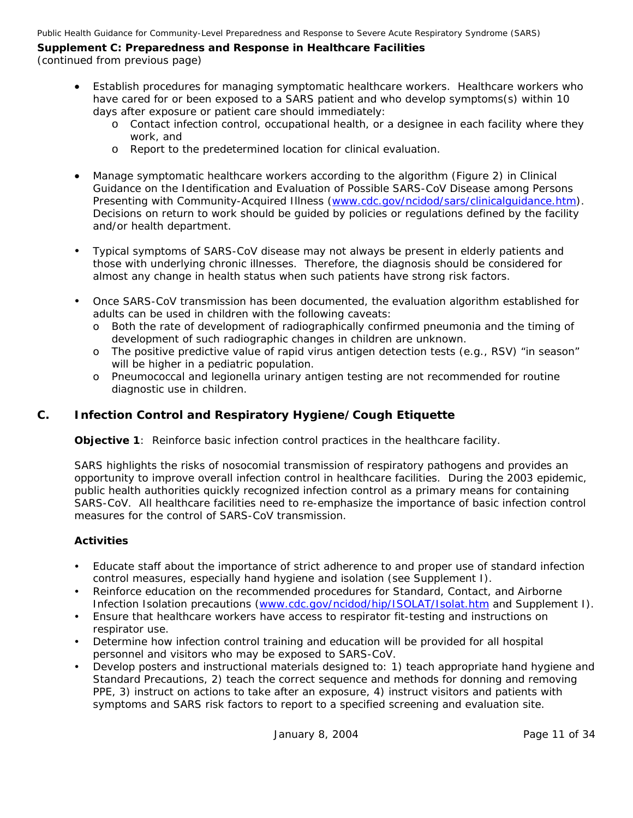Public Health Guidance for Community-Level Preparedness and Response to Severe Acute Respiratory Syndrome (SARS)

## **Supplement C: Preparedness and Response in Healthcare Facilities**

(continued from previous page)

- Establish procedures for managing symptomatic healthcare workers. Healthcare workers who have cared for or been exposed to a SARS patient and who develop symptoms(s) within 10 days after exposure or patient care should immediately:
	- o Contact infection control, occupational health, or a designee in each facility where they work, and
	- o Report to the predetermined location for clinical evaluation.
- Manage symptomatic healthcare workers according to the algorithm (Figure 2) in *Clinical Guidance on the Identification and Evaluation of Possible SARS-CoV Disease among Persons Presenting with Community-Acquired Illness* [\(www.cdc.gov/ncidod/sars/clinicalguidance.htm\)](http://www.cdc.gov/ncidod/sars/clinicalguidance.htm). Decisions on return to work should be guided by policies or regulations defined by the facility and/or health department.
- y Typical symptoms of SARS-CoV disease may not always be present in elderly patients and those with underlying chronic illnesses. Therefore, the diagnosis should be considered for almost any change in health status when such patients have strong risk factors.
- Once SARS-CoV transmission has been documented, the evaluation algorithm established for adults can be used in children with the following caveats:
	- o Both the rate of development of radiographically confirmed pneumonia and the timing of development of such radiographic changes in children are unknown.
	- o The positive predictive value of rapid virus antigen detection tests (e.g., RSV) "in season" will be higher in a pediatric population.
	- o Pneumococcal and legionella urinary antigen testing are not recommended for routine diagnostic use in children.

## *C. Infection Control and Respiratory Hygiene/Cough Etiquette*

**Objective 1**: Reinforce basic infection control practices in the healthcare facility.

SARS highlights the risks of nosocomial transmission of respiratory pathogens and provides an opportunity to improve overall infection control in healthcare facilities. During the 2003 epidemic, public health authorities quickly recognized infection control as a primary means for containing SARS-CoV. All healthcare facilities need to re-emphasize the importance of basic infection control measures for the control of SARS-CoV transmission.

- Educate staff about the importance of strict adherence to and proper use of standard infection control measures, especially hand hygiene and isolation (see Supplement I).
- Reinforce education on the recommended procedures for Standard, Contact, and Airborne Infection Isolation precautions [\(www.cdc.gov/ncidod/hip/ISOLAT/Isolat.htm](http://www.cdc.gov/ncidod/hip/ISOLAT/Isolat.htm) and Supplement I).
- Ensure that healthcare workers have access to respirator fit-testing and instructions on respirator use.
- Determine how infection control training and education will be provided for all hospital personnel and visitors who may be exposed to SARS-CoV.
- Develop posters and instructional materials designed to: 1) teach appropriate hand hygiene and Standard Precautions, 2) teach the correct sequence and methods for donning and removing PPE, 3) instruct on actions to take after an exposure, 4) instruct visitors and patients with symptoms and SARS risk factors to report to a specified screening and evaluation site.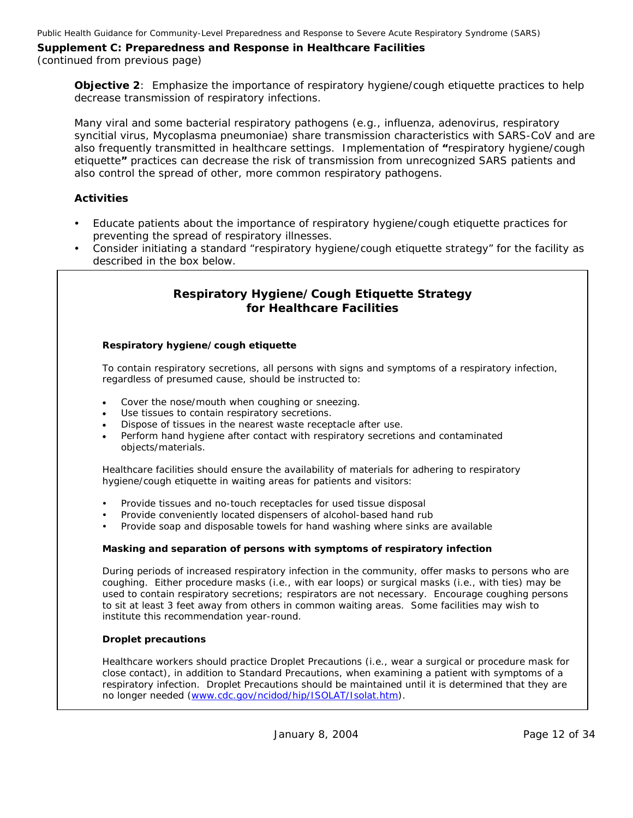(continued from previous page)

**Objective 2**: Emphasize the importance of respiratory hygiene/cough etiquette practices to help decrease transmission of respiratory infections.

Many viral and some bacterial respiratory pathogens (e.g., influenza, adenovirus, respiratory syncitial virus, *Mycoplasma pneumoniae*) share transmission characteristics with SARS-CoV and are also frequently transmitted in healthcare settings. Implementation of **"**respiratory hygiene/cough etiquette**"** practices can decrease the risk of transmission from unrecognized SARS patients and also control the spread of other, more common respiratory pathogens.

#### **Activities**

- Educate patients about the importance of respiratory hygiene/cough etiquette practices for preventing the spread of respiratory illnesses.
- Consider initiating a standard "respiratory hygiene/cough etiquette strategy" for the facility as described in the box below.

### *Respiratory Hygiene/Cough Etiquette Strategy for Healthcare Facilities*

#### **Respiratory hygiene/cough etiquette**

To contain respiratory secretions, all persons with signs and symptoms of a respiratory infection, regardless of presumed cause, should be instructed to:

- Cover the nose/mouth when coughing or sneezing.
- Use tissues to contain respiratory secretions.
- Dispose of tissues in the nearest waste receptacle after use.
- Perform hand hygiene after contact with respiratory secretions and contaminated objects/materials.

Healthcare facilities should ensure the availability of materials for adhering to respiratory hygiene/cough etiquette in waiting areas for patients and visitors:

- Provide tissues and no-touch receptacles for used tissue disposal
- Provide conveniently located dispensers of alcohol-based hand rub
- Provide soap and disposable towels for hand washing where sinks are available

#### **Masking and separation of persons with symptoms of respiratory infection**

During periods of increased respiratory infection in the community, offer masks to persons who are coughing. Either procedure masks (i.e., with ear loops) or surgical masks (i.e., with ties) may be used to contain respiratory secretions; respirators are not necessary. Encourage coughing persons to sit at least 3 feet away from others in common waiting areas. Some facilities may wish to institute this recommendation year-round.

#### **Droplet precautions**

Healthcare workers should practice Droplet Precautions (i.e., wear a surgical or procedure mask for close contact), in addition to Standard Precautions, when examining a patient with symptoms of a respiratory infection. Droplet Precautions should be maintained until it is determined that they are no longer needed [\(www.cdc.gov/ncidod/hip/ISOLAT/Isolat.htm](http://www.cdc.gov/ncidod/hip/ISOLAT/Isolat.htm)).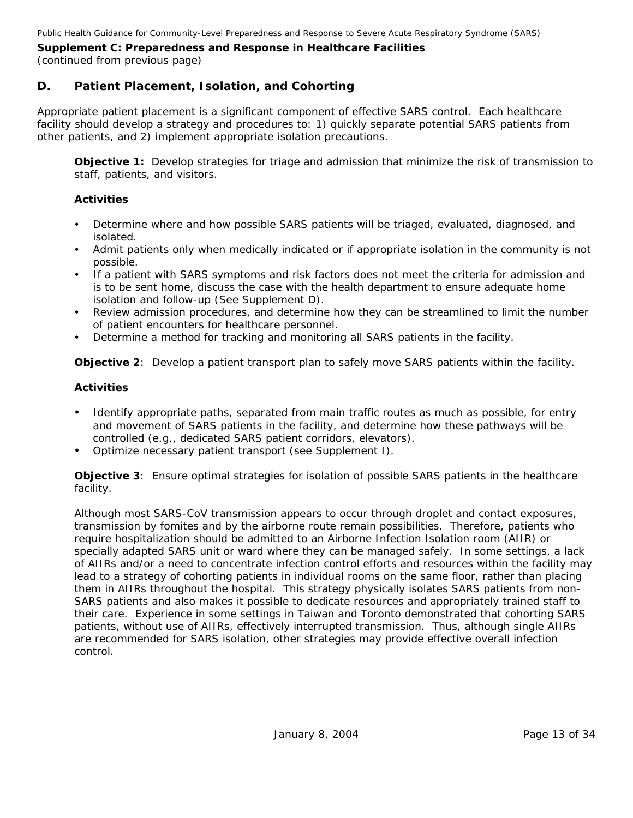## *D. Patient Placement, Isolation, and Cohorting*

Appropriate patient placement is a significant component of effective SARS control. Each healthcare facility should develop a strategy and procedures to: 1) quickly separate potential SARS patients from other patients, and 2) implement appropriate isolation precautions.

**Objective 1:** Develop strategies for triage and admission that minimize the risk of transmission to staff, patients, and visitors.

#### **Activities**

- Determine where and how possible SARS patients will be triaged, evaluated, diagnosed, and isolated.
- Admit patients only when medically indicated or if appropriate isolation in the community is not possible.
- If a patient with SARS symptoms and risk factors does not meet the criteria for admission and is to be sent home, discuss the case with the health department to ensure adequate home isolation and follow-up (See Supplement D).
- Review admission procedures, and determine how they can be streamlined to limit the number of patient encounters for healthcare personnel.
- Determine a method for tracking and monitoring all SARS patients in the facility.

**Objective 2**: Develop a patient transport plan to safely move SARS patients within the facility.

#### **Activities**

- Identify appropriate paths, separated from main traffic routes as much as possible, for entry and movement of SARS patients in the facility, and determine how these pathways will be controlled (e.g., dedicated SARS patient corridors, elevators).
- Optimize necessary patient transport (see Supplement I).

**Objective 3**: Ensure optimal strategies for isolation of possible SARS patients in the healthcare facility.

Although most SARS-CoV transmission appears to occur through droplet and contact exposures, transmission by fomites and by the airborne route remain possibilities. Therefore, patients who require hospitalization should be admitted to an Airborne Infection Isolation room (AIIR) or specially adapted SARS unit or ward where they can be managed safely. In some settings, a lack of AIIRs and/or a need to concentrate infection control efforts and resources within the facility may lead to a strategy of cohorting patients in individual rooms on the same floor, rather than placing them in AIIRs throughout the hospital. This strategy physically isolates SARS patients from non-SARS patients and also makes it possible to dedicate resources and appropriately trained staff to their care. Experience in some settings in Taiwan and Toronto demonstrated that cohorting SARS patients, without use of AIIRs, effectively interrupted transmission. Thus, although single AIIRs are recommended for SARS isolation, other strategies may provide effective overall infection control.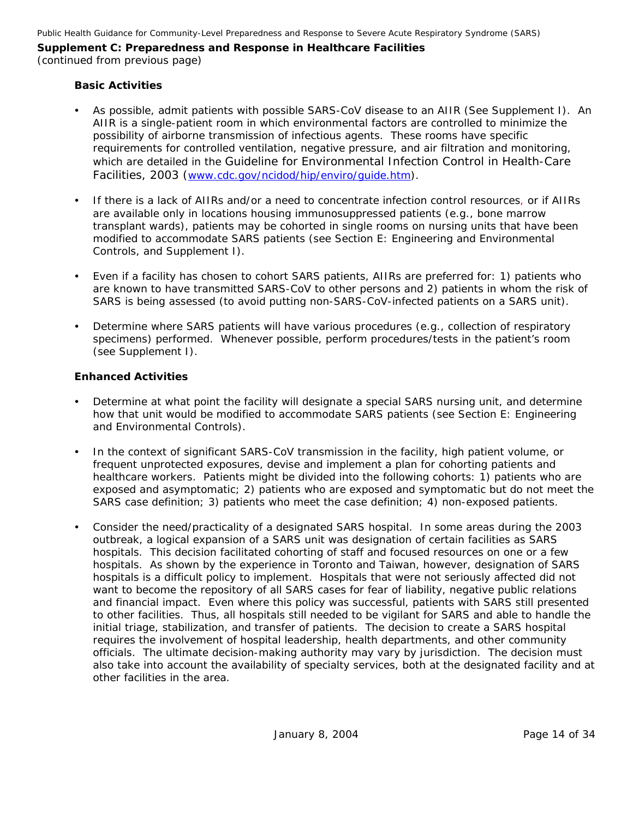(continued from previous page)

#### **Basic Activities**

- As possible, admit patients with possible SARS-CoV disease to an AIIR (See Supplement I). An AIIR is a single-patient room in which environmental factors are controlled to minimize the possibility of airborne transmission of infectious agents. These rooms have specific requirements for controlled ventilation, negative pressure, and air filtration and monitoring, which are detailed in the *Guideline for Environmental Infection Control in Health-Care Facilities, 2003 (*[www.cdc.gov/ncidod/hip/enviro/guide.htm](http://www.cdc.gov/ncidod/hip/enviro/guide.htm)).
- If there is a lack of AIIRs and/or a need to concentrate infection control resources, or if AIIRs are available only in locations housing immunosuppressed patients (e.g., bone marrow transplant wards), patients may be cohorted in single rooms on nursing units that have been modified to accommodate SARS patients (see Section E: Engineering and Environmental Controls, and Supplement I).
- Even if a facility has chosen to cohort SARS patients, AIIRs are preferred for: 1) patients who are known to have transmitted SARS-CoV to other persons and 2) patients in whom the risk of SARS is being assessed (to avoid putting non-SARS-CoV-infected patients on a SARS unit).
- Determine where SARS patients will have various procedures (e.g., collection of respiratory specimens) performed. Whenever possible, perform procedures/tests in the patient's room (see Supplement I).

#### **Enhanced Activities**

- Determine at what point the facility will designate a special SARS nursing unit, and determine how that unit would be modified to accommodate SARS patients (see Section E: Engineering and Environmental Controls).
- In the context of significant SARS-CoV transmission in the facility, high patient volume, or frequent unprotected exposures, devise and implement a plan for cohorting patients and healthcare workers. Patients might be divided into the following cohorts: 1) patients who are exposed and asymptomatic; 2) patients who are exposed and symptomatic but do not meet the SARS case definition; 3) patients who meet the case definition; 4) non-exposed patients.
- y Consider the need/practicality of a designated SARS hospital. In some areas during the 2003 outbreak, a logical expansion of a SARS unit was designation of certain facilities as SARS hospitals. This decision facilitated cohorting of staff and focused resources on one or a few hospitals. As shown by the experience in Toronto and Taiwan, however, designation of SARS hospitals is a difficult policy to implement. Hospitals that were not seriously affected did not want to become the repository of all SARS cases for fear of liability, negative public relations and financial impact. Even where this policy was successful, patients with SARS still presented to other facilities. Thus, all hospitals still needed to be vigilant for SARS and able to handle the initial triage, stabilization, and transfer of patients. The decision to create a SARS hospital requires the involvement of hospital leadership, health departments, and other community officials. The ultimate decision-making authority may vary by jurisdiction. The decision must also take into account the availability of specialty services, both at the designated facility and at other facilities in the area.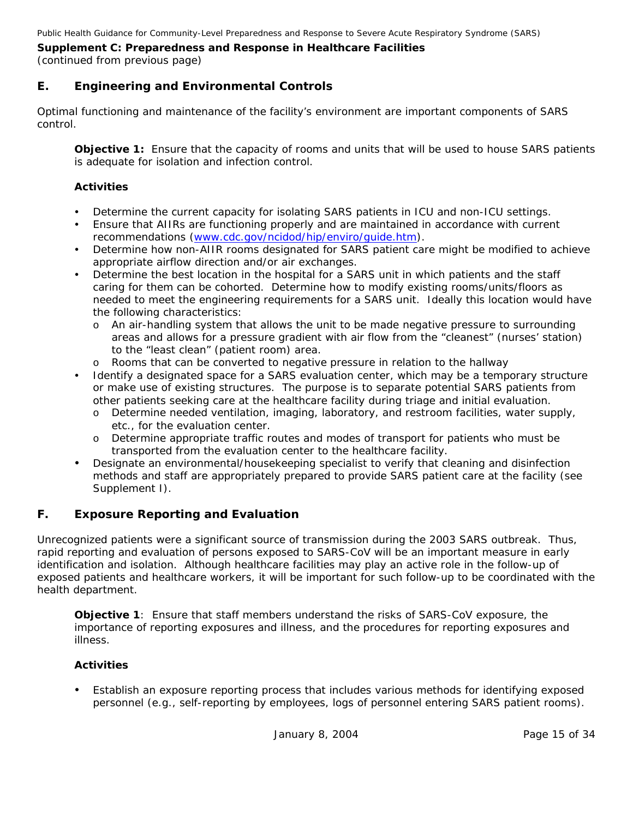## *E. Engineering and Environmental Controls*

Optimal functioning and maintenance of the facility's environment are important components of SARS control.

**Objective 1:** Ensure that the capacity of rooms and units that will be used to house SARS patients is adequate for isolation and infection control.

### **Activities**

- Determine the current capacity for isolating SARS patients in ICU and non-ICU settings.
- Ensure that AIIRs are functioning properly and are maintained in accordance with current recommendations ([www.cdc.gov/ncidod/hip/enviro/guide.htm](http://www.cdc.gov/ncidod/hip/enviro/guide.htm)).
- Determine how non-AIIR rooms designated for SARS patient care might be modified to achieve appropriate airflow direction and/or air exchanges.
- Determine the best location in the hospital for a SARS unit in which patients and the staff caring for them can be cohorted. Determine how to modify existing rooms/units/floors as needed to meet the engineering requirements for a SARS unit. Ideally this location would have the following characteristics:
	- o An air-handling system that allows the unit to be made negative pressure to surrounding areas and allows for a pressure gradient with air flow from the "cleanest" (nurses' station) to the "least clean" (patient room) area.
	- o Rooms that can be converted to negative pressure in relation to the hallway
- Identify a designated space for a SARS evaluation center, which may be a temporary structure or make use of existing structures. The purpose is to separate potential SARS patients from other patients seeking care at the healthcare facility during triage and initial evaluation.
	- o Determine needed ventilation, imaging, laboratory, and restroom facilities, water supply, etc., for the evaluation center.
	- o Determine appropriate traffic routes and modes of transport for patients who must be transported from the evaluation center to the healthcare facility.
- Designate an environmental/housekeeping specialist to verify that cleaning and disinfection methods and staff are appropriately prepared to provide SARS patient care at the facility (see Supplement I).

## *F. Exposure Reporting and Evaluation*

Unrecognized patients were a significant source of transmission during the 2003 SARS outbreak. Thus, rapid reporting and evaluation of persons exposed to SARS-CoV will be an important measure in early identification and isolation. Although healthcare facilities may play an active role in the follow-up of exposed patients and healthcare workers, it will be important for such follow-up to be coordinated with the health department.

**Objective 1**: Ensure that staff members understand the risks of SARS-CoV exposure, the importance of reporting exposures and illness, and the procedures for reporting exposures and illness.

## **Activities**

Establish an exposure reporting process that includes various methods for identifying exposed personnel (e.g., self-reporting by employees, logs of personnel entering SARS patient rooms).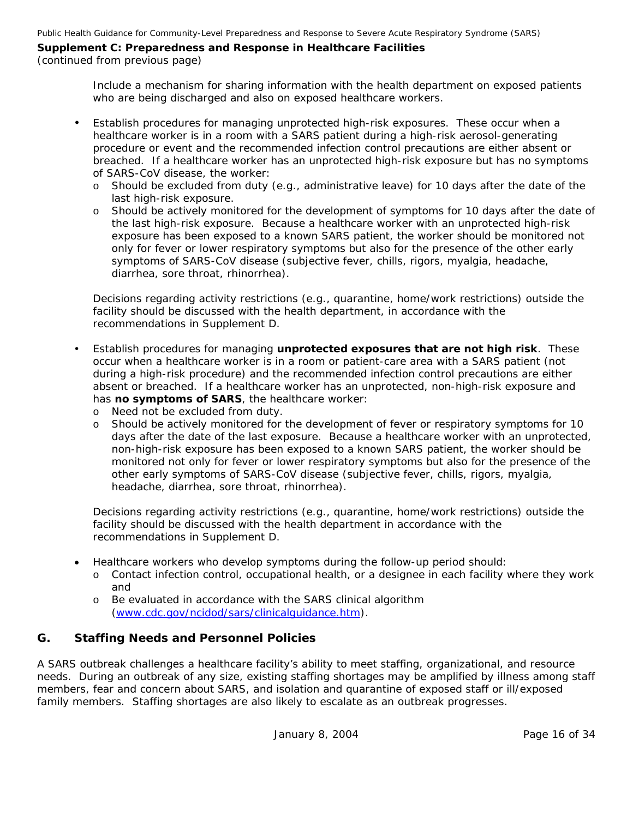#### (continued from previous page)

Include a mechanism for sharing information with the health department on exposed patients who are being discharged and also on exposed healthcare workers.

- Establish procedures for managing unprotected high-risk exposures. These occur when a healthcare worker is in a room with a SARS patient during a high-risk aerosol-generating procedure or event and the recommended infection control precautions are either absent or breached. If a healthcare worker has an unprotected high-risk exposure but has no symptoms of SARS-CoV disease, the worker:
	- o Should be excluded from duty (e.g., administrative leave) for 10 days after the date of the last high-risk exposure.
	- o Should be actively monitored for the development of symptoms for 10 days after the date of the last high-risk exposure. Because a healthcare worker with an unprotected high-risk exposure has been exposed to a known SARS patient, the worker should be monitored not only for fever or lower respiratory symptoms but also for the presence of the other early symptoms of SARS-CoV disease (subjective fever, chills, rigors, myalgia, headache, diarrhea, sore throat, rhinorrhea).

Decisions regarding activity restrictions (e.g., quarantine, home/work restrictions) outside the facility should be discussed with the health department, in accordance with the recommendations in Supplement D.

- y Establish procedures for managing **unprotected exposures that are not high risk**. These occur when a healthcare worker is in a room or patient-care area with a SARS patient (not during a high-risk procedure) and the recommended infection control precautions are either absent or breached. If a healthcare worker has an unprotected, non-high-risk exposure and has **no symptoms of SARS**, the healthcare worker:
	- o Need not be excluded from duty.
	- o Should be actively monitored for the development of fever or respiratory symptoms for 10 days after the date of the last exposure. Because a healthcare worker with an unprotected, non-high-risk exposure has been exposed to a known SARS patient, the worker should be monitored not only for fever or lower respiratory symptoms but also for the presence of the other early symptoms of SARS-CoV disease (subjective fever, chills, rigors, myalgia, headache, diarrhea, sore throat, rhinorrhea).

Decisions regarding activity restrictions (e.g., quarantine, home/work restrictions) outside the facility should be discussed with the health department in accordance with the recommendations in Supplement D.

- Healthcare workers who develop symptoms during the follow-up period should:
	- o Contact infection control, occupational health, or a designee in each facility where they work and
	- o Be evaluated in accordance with the SARS clinical algorithm ([www.cdc.gov/ncidod/sars/clinicalguidance.htm\)](http://www.cdc.gov/ncidod/sars/clinicalguidance.htm).

## *G. Staffing Needs and Personnel Policies*

A SARS outbreak challenges a healthcare facility's ability to meet staffing, organizational, and resource needs. During an outbreak of any size, existing staffing shortages may be amplified by illness among staff members, fear and concern about SARS, and isolation and quarantine of exposed staff or ill/exposed family members. Staffing shortages are also likely to escalate as an outbreak progresses.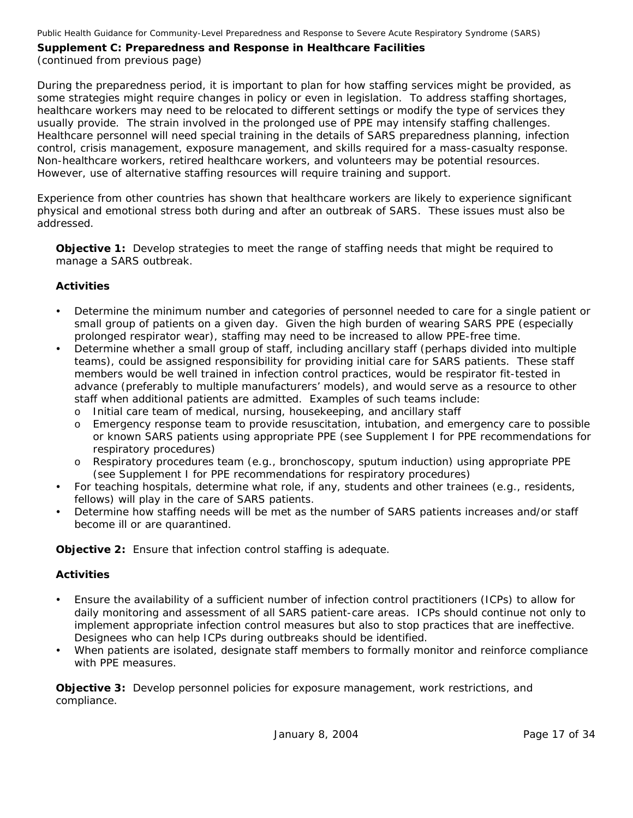During the preparedness period, it is important to plan for how staffing services might be provided, as some strategies might require changes in policy or even in legislation. To address staffing shortages, healthcare workers may need to be relocated to different settings or modify the type of services they usually provide. The strain involved in the prolonged use of PPE may intensify staffing challenges. Healthcare personnel will need special training in the details of SARS preparedness planning, infection control, crisis management, exposure management, and skills required for a mass-casualty response. Non-healthcare workers, retired healthcare workers, and volunteers may be potential resources. However, use of alternative staffing resources will require training and support.

Experience from other countries has shown that healthcare workers are likely to experience significant physical and emotional stress both during and after an outbreak of SARS. These issues must also be addressed.

**Objective 1:** Develop strategies to meet the range of staffing needs that might be required to manage a SARS outbreak.

#### **Activities**

- Determine the minimum number and categories of personnel needed to care for a single patient or small group of patients on a given day. Given the high burden of wearing SARS PPE (especially prolonged respirator wear), staffing may need to be increased to allow PPE-free time.
- Determine whether a small group of staff, including ancillary staff (perhaps divided into multiple teams), could be assigned responsibility for providing initial care for SARS patients. These staff members would be well trained in infection control practices, would be respirator fit-tested in advance (preferably to multiple manufacturers' models), and would serve as a resource to other staff when additional patients are admitted. Examples of such teams include:
	- o Initial care team of medical, nursing, housekeeping, and ancillary staff
	- o Emergency response team to provide resuscitation, intubation, and emergency care to possible or known SARS patients using appropriate PPE (see Supplement I for PPE recommendations for respiratory procedures)
	- o Respiratory procedures team (e.g., bronchoscopy, sputum induction) using appropriate PPE (see Supplement I for PPE recommendations for respiratory procedures)
- For teaching hospitals, determine what role, if any, students and other trainees (e.g., residents, fellows) will play in the care of SARS patients.
- Determine how staffing needs will be met as the number of SARS patients increases and/or staff become ill or are quarantined.

**Objective 2:** Ensure that infection control staffing is adequate.

#### **Activities**

- Ensure the availability of a sufficient number of infection control practitioners (ICPs) to allow for daily monitoring and assessment of all SARS patient-care areas. ICPs should continue not only to implement appropriate infection control measures but also to stop practices that are ineffective. Designees who can help ICPs during outbreaks should be identified.
- y When patients are isolated, designate staff members to formally monitor and reinforce compliance with PPE measures.

**Objective 3:** Develop personnel policies for exposure management, work restrictions, and compliance.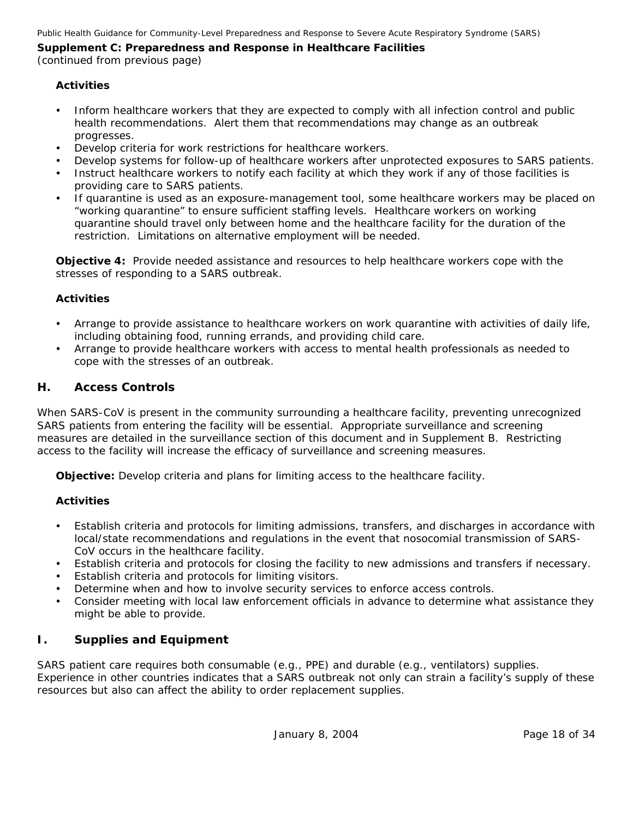(continued from previous page)

#### **Activities**

- Inform healthcare workers that they are expected to comply with all infection control and public health recommendations. Alert them that recommendations may change as an outbreak progresses.
- Develop criteria for work restrictions for healthcare workers.
- Develop systems for follow-up of healthcare workers after unprotected exposures to SARS patients.
- Instruct healthcare workers to notify each facility at which they work if any of those facilities is providing care to SARS patients.
- If quarantine is used as an exposure-management tool, some healthcare workers may be placed on "working quarantine" to ensure sufficient staffing levels. Healthcare workers on working quarantine should travel only between home and the healthcare facility for the duration of the restriction. Limitations on alternative employment will be needed.

**Objective 4:** Provide needed assistance and resources to help healthcare workers cope with the stresses of responding to a SARS outbreak.

#### **Activities**

- Arrange to provide assistance to healthcare workers on work quarantine with activities of daily life, including obtaining food, running errands, and providing child care.
- Arrange to provide healthcare workers with access to mental health professionals as needed to cope with the stresses of an outbreak.

#### *H. Access Controls*

When SARS-CoV is present in the community surrounding a healthcare facility, preventing unrecognized SARS patients from entering the facility will be essential. Appropriate surveillance and screening measures are detailed in the surveillance section of this document and in Supplement B. Restricting access to the facility will increase the efficacy of surveillance and screening measures.

**Objective:** Develop criteria and plans for limiting access to the healthcare facility.

#### **Activities**

- Establish criteria and protocols for limiting admissions, transfers, and discharges in accordance with local/state recommendations and regulations in the event that nosocomial transmission of SARS-CoV occurs in the healthcare facility.
- Establish criteria and protocols for closing the facility to new admissions and transfers if necessary.
- Establish criteria and protocols for limiting visitors.
- Determine when and how to involve security services to enforce access controls.
- Consider meeting with local law enforcement officials in advance to determine what assistance they might be able to provide.

#### *I. Supplies and Equipment*

SARS patient care requires both consumable (e.g., PPE) and durable (e.g., ventilators) supplies. Experience in other countries indicates that a SARS outbreak not only can strain a facility's supply of these resources but also can affect the ability to order replacement supplies.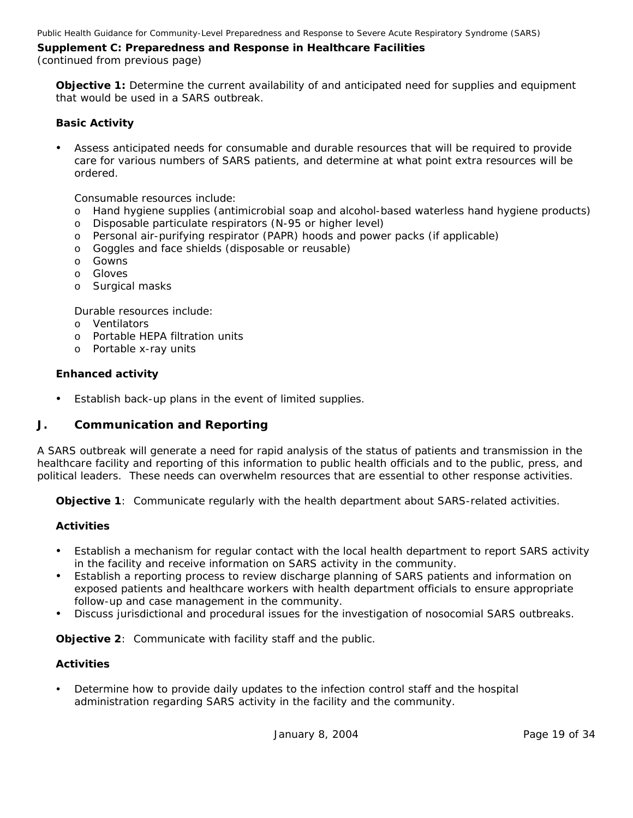(continued from previous page)

**Objective 1:** Determine the current availability of and anticipated need for supplies and equipment that would be used in a SARS outbreak.

#### **Basic Activity**

Assess anticipated needs for consumable and durable resources that will be required to provide care for various numbers of SARS patients, and determine at what point extra resources will be ordered.

Consumable resources include:

- o Hand hygiene supplies (antimicrobial soap and alcohol-based waterless hand hygiene products)
- o Disposable particulate respirators (N-95 or higher level)
- o Personal air-purifying respirator (PAPR) hoods and power packs (if applicable)
- o Goggles and face shields (disposable or reusable)
- o Gowns
- o Gloves
- o Surgical masks

Durable resources include:

- o Ventilators
- o Portable HEPA filtration units
- o Portable x-ray units

#### **Enhanced activity**

• Establish back-up plans in the event of limited supplies.

#### *J. Communication and Reporting*

A SARS outbreak will generate a need for rapid analysis of the status of patients and transmission in the healthcare facility and reporting of this information to public health officials and to the public, press, and political leaders. These needs can overwhelm resources that are essential to other response activities.

**Objective 1**: Communicate regularly with the health department about SARS-related activities.

#### **Activities**

- Establish a mechanism for regular contact with the local health department to report SARS activity in the facility and receive information on SARS activity in the community.
- Establish a reporting process to review discharge planning of SARS patients and information on exposed patients and healthcare workers with health department officials to ensure appropriate follow-up and case management in the community.
- Discuss jurisdictional and procedural issues for the investigation of nosocomial SARS outbreaks.

**Objective 2**: Communicate with facility staff and the public.

#### **Activities**

Determine how to provide daily updates to the infection control staff and the hospital administration regarding SARS activity in the facility and the community.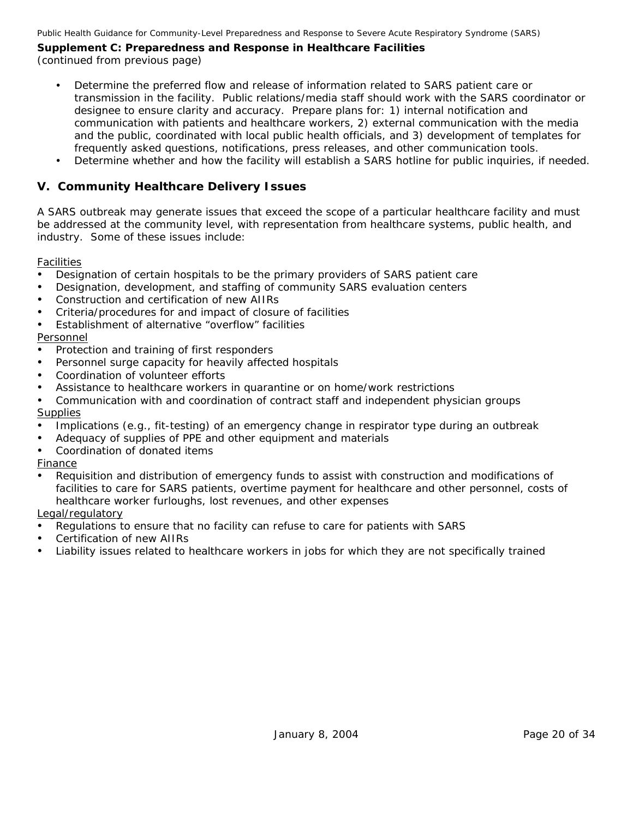Public Health Guidance for Community-Level Preparedness and Response to Severe Acute Respiratory Syndrome (SARS)

#### **Supplement C: Preparedness and Response in Healthcare Facilities**  (continued from previous page)

- Determine the preferred flow and release of information related to SARS patient care or transmission in the facility. Public relations/media staff should work with the SARS coordinator or designee to ensure clarity and accuracy. Prepare plans for: 1) internal notification and communication with patients and healthcare workers, 2) external communication with the media and the public, coordinated with local public health officials, and 3) development of templates for frequently asked questions, notifications, press releases, and other communication tools.
- Determine whether and how the facility will establish a SARS hotline for public inquiries, if needed.

## **V. Community Healthcare Delivery Issues**

A SARS outbreak may generate issues that exceed the scope of a particular healthcare facility and must be addressed at the community level, with representation from healthcare systems, public health, and industry. Some of these issues include:

#### **Facilities**

- Designation of certain hospitals to be the primary providers of SARS patient care
- Designation, development, and staffing of community SARS evaluation centers
- Construction and certification of new AIIRs
- Criteria/procedures for and impact of closure of facilities
- Establishment of alternative "overflow" facilities

#### Personnel

- Protection and training of first responders
- Personnel surge capacity for heavily affected hospitals
- Coordination of volunteer efforts
- Assistance to healthcare workers in quarantine or on home/work restrictions
- Communication with and coordination of contract staff and independent physician groups **Supplies**
- Implications (e.g., fit-testing) of an emergency change in respirator type during an outbreak
- Adequacy of supplies of PPE and other equipment and materials
- Coordination of donated items

#### Finance

Requisition and distribution of emergency funds to assist with construction and modifications of facilities to care for SARS patients, overtime payment for healthcare and other personnel, costs of healthcare worker furloughs, lost revenues, and other expenses

#### Legal/regulatory

- Regulations to ensure that no facility can refuse to care for patients with SARS
- Certification of new AIIRs
- Liability issues related to healthcare workers in jobs for which they are not specifically trained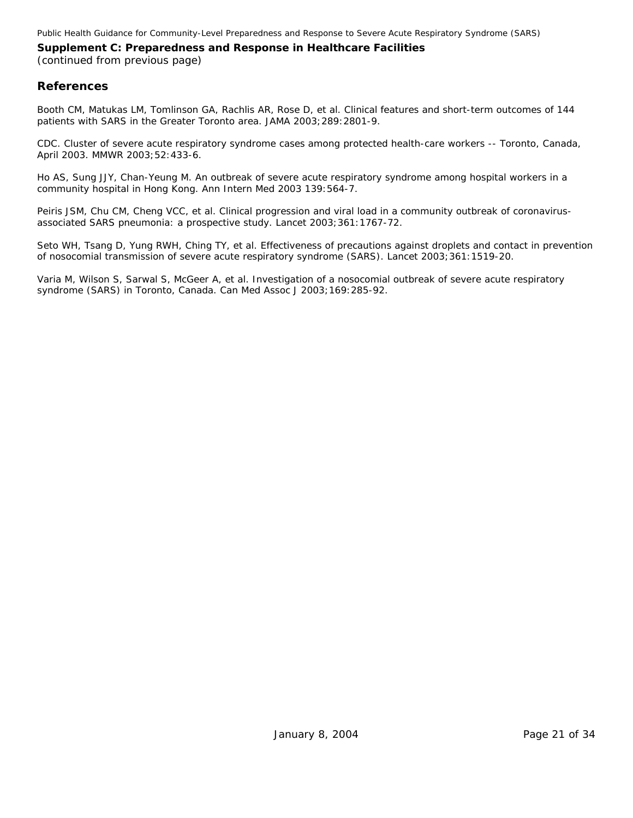Public Health Guidance for Community-Level Preparedness and Response to Severe Acute Respiratory Syndrome (SARS)

## **Supplement C: Preparedness and Response in Healthcare Facilities**

(continued from previous page)

#### **References**

Booth CM, Matukas LM, Tomlinson GA, Rachlis AR, Rose D, et al. Clinical features and short-term outcomes of 144 patients with SARS in the Greater Toronto area. JAMA 2003; 289: 2801-9.

CDC. Cluster of severe acute respiratory syndrome cases among protected health-care workers -- Toronto, Canada, April 2003. MMWR 2003;52:433-6.

Ho AS, Sung JJY, Chan-Yeung M. An outbreak of severe acute respiratory syndrome among hospital workers in a community hospital in Hong Kong. Ann Intern Med 2003 139:564-7.

Peiris JSM, Chu CM, Cheng VCC, et al. Clinical progression and viral load in a community outbreak of coronavirusassociated SARS pneumonia: a prospective study. Lancet 2003;361:1767-72.

Seto WH, Tsang D, Yung RWH, Ching TY, et al. Effectiveness of precautions against droplets and contact in prevention of nosocomial transmission of severe acute respiratory syndrome (SARS). Lancet 2003;361:1519-20.

Varia M, Wilson S, Sarwal S, McGeer A, et al. Investigation of a nosocomial outbreak of severe acute respiratory syndrome (SARS) in Toronto, Canada. Can Med Assoc J 2003;169:285-92.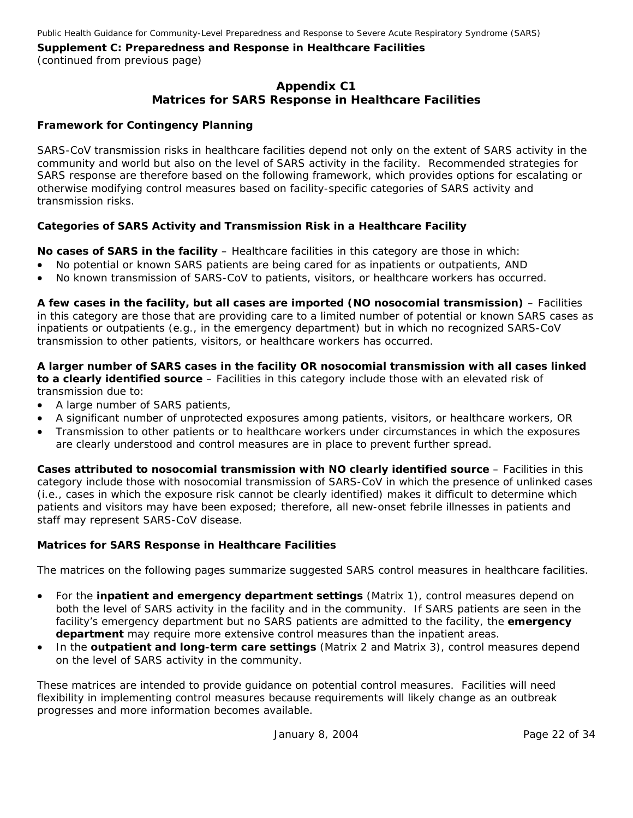## **Appendix C1 Matrices for SARS Response in Healthcare Facilities**

#### **Framework for Contingency Planning**

SARS-CoV transmission risks in healthcare facilities depend not only on the extent of SARS activity in the community and world but also on the level of SARS activity in the facility. Recommended strategies for SARS response are therefore based on the following framework, which provides options for escalating or otherwise modifying control measures based on facility-specific categories of SARS activity and transmission risks.

#### **Categories of SARS Activity and Transmission Risk in a Healthcare Facility**

**No cases of SARS in the facility** – Healthcare facilities in this category are those in which:

- No potential or known SARS patients are being cared for as inpatients or outpatients, AND
- No known transmission of SARS-CoV to patients, visitors, or healthcare workers has occurred.

**A few cases in the facility, but all cases are imported (NO nosocomial transmission)** – Facilities in this category are those that are providing care to a limited number of potential or known SARS cases as inpatients or outpatients (e.g., in the emergency department) but in which no recognized SARS-CoV transmission to other patients, visitors, or healthcare workers has occurred.

**A larger number of SARS cases in the facility OR nosocomial transmission with all cases linked to a clearly identified source** – Facilities in this category include those with an elevated risk of transmission due to:

- A large number of SARS patients,
- A significant number of unprotected exposures among patients, visitors, or healthcare workers, OR
- Transmission to other patients or to healthcare workers under circumstances in which the exposures are clearly understood and control measures are in place to prevent further spread.

**Cases attributed to nosocomial transmission with NO clearly identified source** – Facilities in this category include those with nosocomial transmission of SARS-CoV in which the presence of unlinked cases (i.e., cases in which the exposure risk cannot be clearly identified) makes it difficult to determine which patients and visitors may have been exposed; therefore, all new-onset febrile illnesses in patients and staff may represent SARS-CoV disease.

#### **Matrices for SARS Response in Healthcare Facilities**

The matrices on the following pages summarize suggested SARS control measures in healthcare facilities.

- For the **inpatient and emergency department settings** (Matrix 1), control measures depend on both the level of SARS activity in the facility and in the community. If SARS patients are seen in the facility's emergency department but no SARS patients are admitted to the facility, the **emergency department** may require more extensive control measures than the inpatient areas.
- In the **outpatient and long-term care settings** (Matrix 2 and Matrix 3), control measures depend on the level of SARS activity in the community.

These matrices are intended to provide guidance on potential control measures. Facilities will need flexibility in implementing control measures because requirements will likely change as an outbreak progresses and more information becomes available.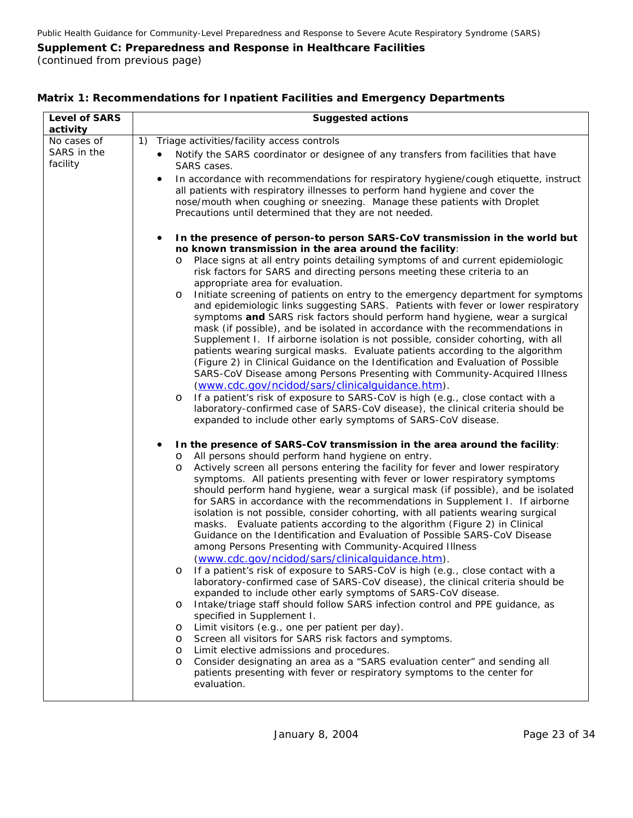(continued from previous page)

| <b>Level of SARS</b><br>activity       | <b>Suggested actions</b>                                                                                                                                                                                                                                                                                                                                                                                                                                                                                                                                                                                                                                                                                                                                                                                                                                                                                                                                                                                                                                                                                                                                                                                                                                                                                                                                                                                                                                                                                                                                                                                                                                                                                                                                                                                                                                                                                                                                                                                                                                                                                                                                                                                                                                                                                                                                                                                                                                                                                                                                                                                                                                                                                                                                                                                                                                                                                                     |
|----------------------------------------|------------------------------------------------------------------------------------------------------------------------------------------------------------------------------------------------------------------------------------------------------------------------------------------------------------------------------------------------------------------------------------------------------------------------------------------------------------------------------------------------------------------------------------------------------------------------------------------------------------------------------------------------------------------------------------------------------------------------------------------------------------------------------------------------------------------------------------------------------------------------------------------------------------------------------------------------------------------------------------------------------------------------------------------------------------------------------------------------------------------------------------------------------------------------------------------------------------------------------------------------------------------------------------------------------------------------------------------------------------------------------------------------------------------------------------------------------------------------------------------------------------------------------------------------------------------------------------------------------------------------------------------------------------------------------------------------------------------------------------------------------------------------------------------------------------------------------------------------------------------------------------------------------------------------------------------------------------------------------------------------------------------------------------------------------------------------------------------------------------------------------------------------------------------------------------------------------------------------------------------------------------------------------------------------------------------------------------------------------------------------------------------------------------------------------------------------------------------------------------------------------------------------------------------------------------------------------------------------------------------------------------------------------------------------------------------------------------------------------------------------------------------------------------------------------------------------------------------------------------------------------------------------------------------------------|
| No cases of<br>SARS in the<br>facility | Triage activities/facility access controls<br>1)<br>Notify the SARS coordinator or designee of any transfers from facilities that have<br>SARS cases.<br>In accordance with recommendations for respiratory hygiene/cough etiquette, instruct<br>٠<br>all patients with respiratory illnesses to perform hand hygiene and cover the<br>nose/mouth when coughing or sneezing. Manage these patients with Droplet<br>Precautions until determined that they are not needed.                                                                                                                                                                                                                                                                                                                                                                                                                                                                                                                                                                                                                                                                                                                                                                                                                                                                                                                                                                                                                                                                                                                                                                                                                                                                                                                                                                                                                                                                                                                                                                                                                                                                                                                                                                                                                                                                                                                                                                                                                                                                                                                                                                                                                                                                                                                                                                                                                                                    |
|                                        | In the presence of person-to person SARS-CoV transmission in the world but<br>٠<br>no known transmission in the area around the facility:<br>Place signs at all entry points detailing symptoms of and current epidemiologic<br>O<br>risk factors for SARS and directing persons meeting these criteria to an<br>appropriate area for evaluation.<br>Initiate screening of patients on entry to the emergency department for symptoms<br>O<br>and epidemiologic links suggesting SARS. Patients with fever or lower respiratory<br>symptoms and SARS risk factors should perform hand hygiene, wear a surgical<br>mask (if possible), and be isolated in accordance with the recommendations in<br>Supplement I. If airborne isolation is not possible, consider cohorting, with all<br>patients wearing surgical masks. Evaluate patients according to the algorithm<br>(Figure 2) in Clinical Guidance on the Identification and Evaluation of Possible<br>SARS-CoV Disease among Persons Presenting with Community-Acquired Illness<br>(www.cdc.gov/ncidod/sars/clinicalguidance.htm).<br>If a patient's risk of exposure to SARS-CoV is high (e.g., close contact with a<br>$\circ$<br>laboratory-confirmed case of SARS-CoV disease), the clinical criteria should be<br>expanded to include other early symptoms of SARS-CoV disease.<br>In the presence of SARS-CoV transmission in the area around the facility:<br>٠<br>All persons should perform hand hygiene on entry.<br>O<br>Actively screen all persons entering the facility for fever and lower respiratory<br>O<br>symptoms. All patients presenting with fever or lower respiratory symptoms<br>should perform hand hygiene, wear a surgical mask (if possible), and be isolated<br>for SARS in accordance with the recommendations in Supplement I. If airborne<br>isolation is not possible, consider cohorting, with all patients wearing surgical<br>masks. Evaluate patients according to the algorithm (Figure 2) in Clinical<br>Guidance on the Identification and Evaluation of Possible SARS-CoV Disease<br>among Persons Presenting with Community-Acquired Illness<br>(www.cdc.gov/ncidod/sars/clinicalquidance.htm).<br>If a patient's risk of exposure to SARS-CoV is high (e.g., close contact with a<br>laboratory-confirmed case of SARS-CoV disease), the clinical criteria should be<br>expanded to include other early symptoms of SARS-CoV disease.<br>Intake/triage staff should follow SARS infection control and PPE guidance, as<br>O<br>specified in Supplement I.<br>Limit visitors (e.g., one per patient per day).<br>O<br>Screen all visitors for SARS risk factors and symptoms.<br>O<br>Limit elective admissions and procedures.<br>$\circ$<br>Consider designating an area as a "SARS evaluation center" and sending all<br>O<br>patients presenting with fever or respiratory symptoms to the center for<br>evaluation. |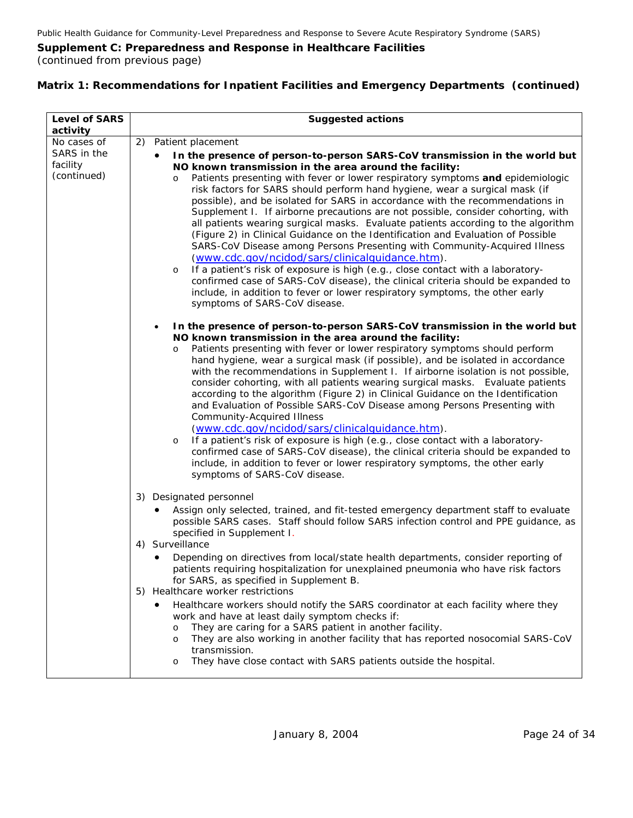(continued from previous page)

| <b>Level of SARS</b><br>activity       | <b>Suggested actions</b>                                                                                                                                                                                                                                                                                                                                                                                                                                                                                                                                                                                                                                                                                                                                                                                                                                                                                                                                                                                                                                                                    |
|----------------------------------------|---------------------------------------------------------------------------------------------------------------------------------------------------------------------------------------------------------------------------------------------------------------------------------------------------------------------------------------------------------------------------------------------------------------------------------------------------------------------------------------------------------------------------------------------------------------------------------------------------------------------------------------------------------------------------------------------------------------------------------------------------------------------------------------------------------------------------------------------------------------------------------------------------------------------------------------------------------------------------------------------------------------------------------------------------------------------------------------------|
| No cases of                            | 2) Patient placement                                                                                                                                                                                                                                                                                                                                                                                                                                                                                                                                                                                                                                                                                                                                                                                                                                                                                                                                                                                                                                                                        |
| SARS in the<br>facility<br>(continued) | In the presence of person-to-person SARS-CoV transmission in the world but<br>NO known transmission in the area around the facility:<br>Patients presenting with fever or lower respiratory symptoms and epidemiologic<br>$\circ$<br>risk factors for SARS should perform hand hygiene, wear a surgical mask (if<br>possible), and be isolated for SARS in accordance with the recommendations in<br>Supplement I. If airborne precautions are not possible, consider cohorting, with<br>all patients wearing surgical masks. Evaluate patients according to the algorithm<br>(Figure 2) in Clinical Guidance on the Identification and Evaluation of Possible<br>SARS-CoV Disease among Persons Presenting with Community-Acquired Illness<br>(www.cdc.gov/ncidod/sars/clinicalquidance.htm).<br>If a patient's risk of exposure is high (e.g., close contact with a laboratory-<br>O<br>confirmed case of SARS-CoV disease), the clinical criteria should be expanded to<br>include, in addition to fever or lower respiratory symptoms, the other early<br>symptoms of SARS-CoV disease. |
|                                        | In the presence of person-to-person SARS-CoV transmission in the world but<br>$\bullet$<br>NO known transmission in the area around the facility:<br>Patients presenting with fever or lower respiratory symptoms should perform<br>O<br>hand hygiene, wear a surgical mask (if possible), and be isolated in accordance<br>with the recommendations in Supplement I. If airborne isolation is not possible,<br>consider cohorting, with all patients wearing surgical masks.  Evaluate patients<br>according to the algorithm (Figure 2) in Clinical Guidance on the Identification<br>and Evaluation of Possible SARS-CoV Disease among Persons Presenting with<br><b>Community-Acquired Illness</b><br>(www.cdc.gov/ncidod/sars/clinicalquidance.htm).<br>If a patient's risk of exposure is high (e.g., close contact with a laboratory-<br>$\circ$<br>confirmed case of SARS-CoV disease), the clinical criteria should be expanded to<br>include, in addition to fever or lower respiratory symptoms, the other early<br>symptoms of SARS-CoV disease.                                |
|                                        | 3) Designated personnel<br>Assign only selected, trained, and fit-tested emergency department staff to evaluate<br>possible SARS cases. Staff should follow SARS infection control and PPE guidance, as<br>specified in Supplement I.<br>4) Surveillance                                                                                                                                                                                                                                                                                                                                                                                                                                                                                                                                                                                                                                                                                                                                                                                                                                    |
|                                        | Depending on directives from local/state health departments, consider reporting of<br>patients requiring hospitalization for unexplained pneumonia who have risk factors<br>for SARS, as specified in Supplement B.<br>5) Healthcare worker restrictions                                                                                                                                                                                                                                                                                                                                                                                                                                                                                                                                                                                                                                                                                                                                                                                                                                    |
|                                        | Healthcare workers should notify the SARS coordinator at each facility where they<br>work and have at least daily symptom checks if:<br>They are caring for a SARS patient in another facility.<br>$\circ$<br>They are also working in another facility that has reported nosocomial SARS-CoV<br>$\circ$<br>transmission.<br>They have close contact with SARS patients outside the hospital.<br>O                                                                                                                                                                                                                                                                                                                                                                                                                                                                                                                                                                                                                                                                                          |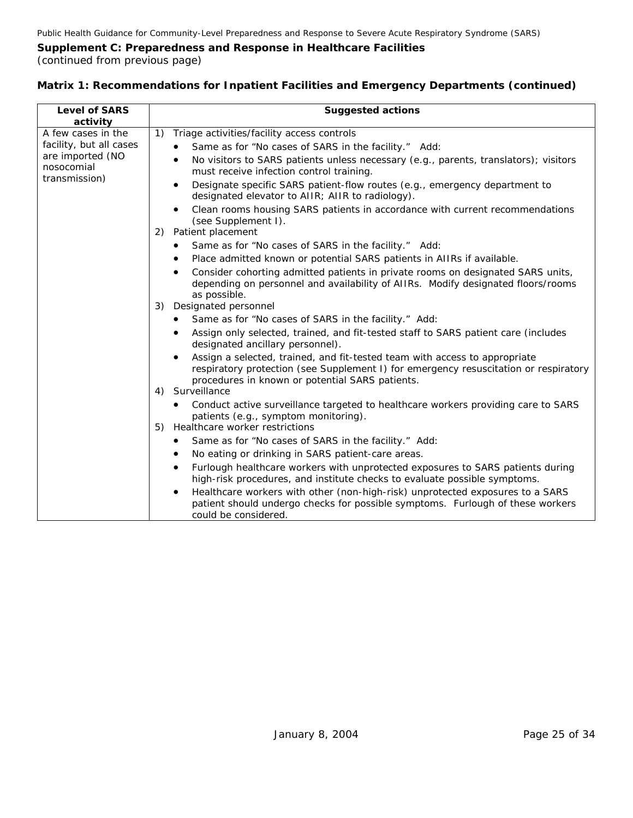(continued from previous page)

| <b>Level of SARS</b>                                      | <b>Suggested actions</b>                                                                                                                                                                                              |
|-----------------------------------------------------------|-----------------------------------------------------------------------------------------------------------------------------------------------------------------------------------------------------------------------|
| activity                                                  |                                                                                                                                                                                                                       |
| A few cases in the                                        | 1)<br>Triage activities/facility access controls                                                                                                                                                                      |
| facility, but all cases<br>are imported (NO<br>nosocomial | Same as for "No cases of SARS in the facility." Add:                                                                                                                                                                  |
|                                                           | No visitors to SARS patients unless necessary (e.g., parents, translators); visitors<br>must receive infection control training.                                                                                      |
| transmission)                                             | Designate specific SARS patient-flow routes (e.g., emergency department to<br>designated elevator to AIIR; AIIR to radiology).                                                                                        |
|                                                           | Clean rooms housing SARS patients in accordance with current recommendations<br>(see Supplement I).                                                                                                                   |
|                                                           | Patient placement<br>(2)                                                                                                                                                                                              |
|                                                           | Same as for "No cases of SARS in the facility." Add:                                                                                                                                                                  |
|                                                           | Place admitted known or potential SARS patients in AIIRs if available.                                                                                                                                                |
|                                                           | Consider cohorting admitted patients in private rooms on designated SARS units,<br>depending on personnel and availability of AIIRs. Modify designated floors/rooms<br>as possible.                                   |
|                                                           | Designated personnel<br>3)                                                                                                                                                                                            |
|                                                           | Same as for "No cases of SARS in the facility." Add:                                                                                                                                                                  |
|                                                           | Assign only selected, trained, and fit-tested staff to SARS patient care (includes<br>designated ancillary personnel).                                                                                                |
|                                                           | Assign a selected, trained, and fit-tested team with access to appropriate<br>respiratory protection (see Supplement I) for emergency resuscitation or respiratory<br>procedures in known or potential SARS patients. |
|                                                           | Surveillance<br>4)                                                                                                                                                                                                    |
|                                                           | Conduct active surveillance targeted to healthcare workers providing care to SARS<br>patients (e.g., symptom monitoring).                                                                                             |
|                                                           | Healthcare worker restrictions<br>5)                                                                                                                                                                                  |
|                                                           | Same as for "No cases of SARS in the facility." Add:                                                                                                                                                                  |
|                                                           | No eating or drinking in SARS patient-care areas.                                                                                                                                                                     |
|                                                           | Furlough healthcare workers with unprotected exposures to SARS patients during<br>high-risk procedures, and institute checks to evaluate possible symptoms.                                                           |
|                                                           | Healthcare workers with other (non-high-risk) unprotected exposures to a SARS<br>patient should undergo checks for possible symptoms. Furlough of these workers<br>could be considered.                               |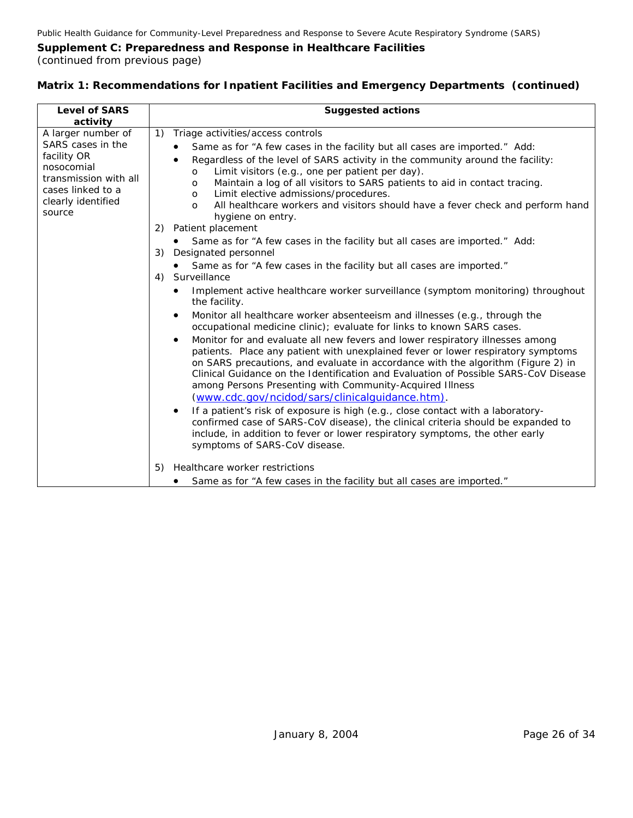(continued from previous page)

| <b>Level of SARS</b>                                                                                                                               | <b>Suggested actions</b>                                                                                                                                                                                                                                                                                                                                                                                                                                                                                                                                                                                                                                                                                                                                                                                                                                                                                                                                                                                                                                                                                                                                                                                                                                                                             |
|----------------------------------------------------------------------------------------------------------------------------------------------------|------------------------------------------------------------------------------------------------------------------------------------------------------------------------------------------------------------------------------------------------------------------------------------------------------------------------------------------------------------------------------------------------------------------------------------------------------------------------------------------------------------------------------------------------------------------------------------------------------------------------------------------------------------------------------------------------------------------------------------------------------------------------------------------------------------------------------------------------------------------------------------------------------------------------------------------------------------------------------------------------------------------------------------------------------------------------------------------------------------------------------------------------------------------------------------------------------------------------------------------------------------------------------------------------------|
| activity                                                                                                                                           |                                                                                                                                                                                                                                                                                                                                                                                                                                                                                                                                                                                                                                                                                                                                                                                                                                                                                                                                                                                                                                                                                                                                                                                                                                                                                                      |
| A larger number of<br>SARS cases in the<br>facility OR<br>nosocomial<br>transmission with all<br>cases linked to a<br>clearly identified<br>source | Triage activities/access controls<br>1)<br>Same as for "A few cases in the facility but all cases are imported." Add:<br>Regardless of the level of SARS activity in the community around the facility:<br>$\bullet$<br>Limit visitors (e.g., one per patient per day).<br>O<br>Maintain a log of all visitors to SARS patients to aid in contact tracing.<br>O<br>Limit elective admissions/procedures.<br>$\circ$<br>All healthcare workers and visitors should have a fever check and perform hand<br>O<br>hygiene on entry.<br>2) Patient placement<br>Same as for "A few cases in the facility but all cases are imported." Add:                                                                                                                                                                                                                                                                                                                                                                                                                                                                                                                                                                                                                                                                |
|                                                                                                                                                    | 3)<br>Designated personnel<br>Same as for "A few cases in the facility but all cases are imported."<br>Surveillance<br>4)<br>Implement active healthcare worker surveillance (symptom monitoring) throughout<br>the facility.<br>Monitor all healthcare worker absenteeism and illnesses (e.g., through the<br>$\bullet$<br>occupational medicine clinic); evaluate for links to known SARS cases.<br>Monitor for and evaluate all new fevers and lower respiratory illnesses among<br>$\bullet$<br>patients. Place any patient with unexplained fever or lower respiratory symptoms<br>on SARS precautions, and evaluate in accordance with the algorithm (Figure 2) in<br>Clinical Guidance on the Identification and Evaluation of Possible SARS-CoV Disease<br>among Persons Presenting with Community-Acquired Illness<br>(www.cdc.gov/ncidod/sars/clinicalquidance.htm).<br>If a patient's risk of exposure is high (e.g., close contact with a laboratory-<br>$\bullet$<br>confirmed case of SARS-CoV disease), the clinical criteria should be expanded to<br>include, in addition to fever or lower respiratory symptoms, the other early<br>symptoms of SARS-CoV disease.<br>Healthcare worker restrictions<br>5)<br>Same as for "A few cases in the facility but all cases are imported." |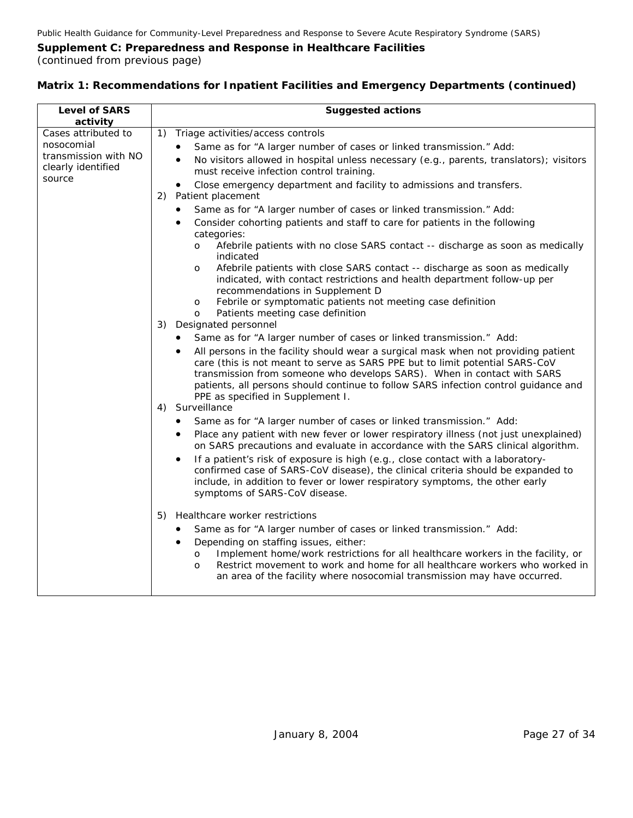| <b>Level of SARS</b><br>activity                                                          | <b>Suggested actions</b>                                                                                                                                                                                                                                                                                                                                                                                                                                                                                                                                                                                                                                                                                                   |
|-------------------------------------------------------------------------------------------|----------------------------------------------------------------------------------------------------------------------------------------------------------------------------------------------------------------------------------------------------------------------------------------------------------------------------------------------------------------------------------------------------------------------------------------------------------------------------------------------------------------------------------------------------------------------------------------------------------------------------------------------------------------------------------------------------------------------------|
| Cases attributed to<br>nosocomial<br>transmission with NO<br>clearly identified<br>source | Triage activities/access controls<br>$\left( \begin{matrix} 1 \end{matrix} \right)$<br>Same as for "A larger number of cases or linked transmission." Add:<br>No visitors allowed in hospital unless necessary (e.g., parents, translators); visitors<br>$\bullet$<br>must receive infection control training.                                                                                                                                                                                                                                                                                                                                                                                                             |
|                                                                                           | Close emergency department and facility to admissions and transfers.<br>$\bullet$<br>Patient placement<br>2)<br>Same as for "A larger number of cases or linked transmission." Add:<br>$\bullet$<br>Consider cohorting patients and staff to care for patients in the following<br>٠<br>categories:<br>Afebrile patients with no close SARS contact -- discharge as soon as medically<br>$\Omega$<br>indicated<br>Afebrile patients with close SARS contact -- discharge as soon as medically<br>O                                                                                                                                                                                                                         |
|                                                                                           | indicated, with contact restrictions and health department follow-up per<br>recommendations in Supplement D<br>Febrile or symptomatic patients not meeting case definition<br>$\mathbf{o}$<br>Patients meeting case definition<br>O<br>3)<br>Designated personnel<br>Same as for "A larger number of cases or linked transmission." Add:<br>٠<br>All persons in the facility should wear a surgical mask when not providing patient<br>care (this is not meant to serve as SARS PPE but to limit potential SARS-CoV<br>transmission from someone who develops SARS). When in contact with SARS<br>patients, all persons should continue to follow SARS infection control guidance and<br>PPE as specified in Supplement I. |
|                                                                                           | Surveillance<br>4)<br>Same as for "A larger number of cases or linked transmission." Add:<br>Place any patient with new fever or lower respiratory illness (not just unexplained)<br>on SARS precautions and evaluate in accordance with the SARS clinical algorithm.<br>If a patient's risk of exposure is high (e.g., close contact with a laboratory-<br>confirmed case of SARS-CoV disease), the clinical criteria should be expanded to<br>include, in addition to fever or lower respiratory symptoms, the other early<br>symptoms of SARS-CoV disease.                                                                                                                                                              |
|                                                                                           | Healthcare worker restrictions<br>5)<br>Same as for "A larger number of cases or linked transmission." Add:<br>Depending on staffing issues, either:<br>$\bullet$<br>Implement home/work restrictions for all healthcare workers in the facility, or<br>$\circ$<br>Restrict movement to work and home for all healthcare workers who worked in<br>$\Omega$<br>an area of the facility where nosocomial transmission may have occurred.                                                                                                                                                                                                                                                                                     |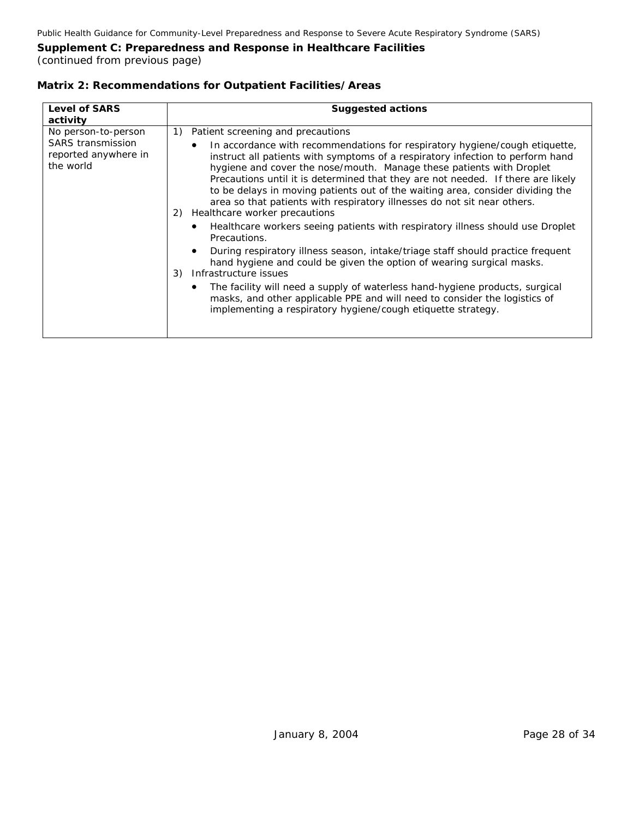(continued from previous page)

#### **Matrix 2: Recommendations for Outpatient Facilities/Areas**

| <b>Level of SARS</b><br>activity                                                     | <b>Suggested actions</b>                                                                                                                                                                                                                                                                                                                                                                                                                                                                                                                                                                                                                                                                                                                                                                                                                                                                                                                                                                                                                                                                             |
|--------------------------------------------------------------------------------------|------------------------------------------------------------------------------------------------------------------------------------------------------------------------------------------------------------------------------------------------------------------------------------------------------------------------------------------------------------------------------------------------------------------------------------------------------------------------------------------------------------------------------------------------------------------------------------------------------------------------------------------------------------------------------------------------------------------------------------------------------------------------------------------------------------------------------------------------------------------------------------------------------------------------------------------------------------------------------------------------------------------------------------------------------------------------------------------------------|
| No person-to-person<br><b>SARS</b> transmission<br>reported anywhere in<br>the world | Patient screening and precautions<br>1)<br>In accordance with recommendations for respiratory hygiene/cough etiquette,<br>instruct all patients with symptoms of a respiratory infection to perform hand<br>hygiene and cover the nose/mouth. Manage these patients with Droplet<br>Precautions until it is determined that they are not needed. If there are likely<br>to be delays in moving patients out of the waiting area, consider dividing the<br>area so that patients with respiratory illnesses do not sit near others.<br>Healthcare worker precautions<br>2)<br>Healthcare workers seeing patients with respiratory illness should use Droplet<br>Precautions.<br>During respiratory illness season, intake/triage staff should practice frequent<br>hand hygiene and could be given the option of wearing surgical masks.<br>Infrastructure issues<br>3)<br>The facility will need a supply of waterless hand-hygiene products, surgical<br>masks, and other applicable PPE and will need to consider the logistics of<br>implementing a respiratory hygiene/cough etiquette strategy. |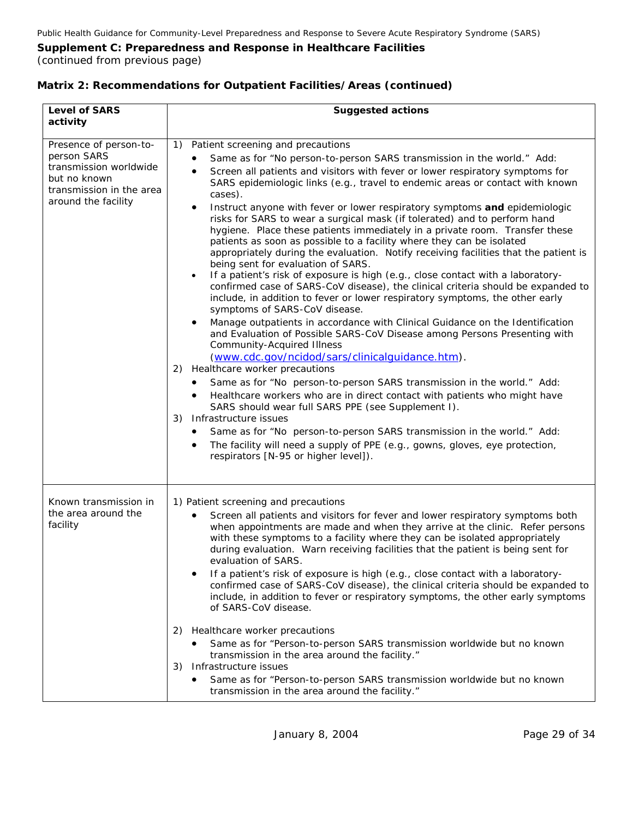#### **Matrix 2: Recommendations for Outpatient Facilities/Areas (continued)**

| <b>Level of SARS</b><br>activity                                                                                                   | <b>Suggested actions</b>                                                                                                                                                                                                                                                                                                                                                                                                                                                                                                                                                                                                                                                                                                                                                                                                                                                                                                                                                                                                                                                                                                                                                                                                                                                                                                                                                                                                                                                                                                                                                                                                                                                                                                                                                                                                                                 |
|------------------------------------------------------------------------------------------------------------------------------------|----------------------------------------------------------------------------------------------------------------------------------------------------------------------------------------------------------------------------------------------------------------------------------------------------------------------------------------------------------------------------------------------------------------------------------------------------------------------------------------------------------------------------------------------------------------------------------------------------------------------------------------------------------------------------------------------------------------------------------------------------------------------------------------------------------------------------------------------------------------------------------------------------------------------------------------------------------------------------------------------------------------------------------------------------------------------------------------------------------------------------------------------------------------------------------------------------------------------------------------------------------------------------------------------------------------------------------------------------------------------------------------------------------------------------------------------------------------------------------------------------------------------------------------------------------------------------------------------------------------------------------------------------------------------------------------------------------------------------------------------------------------------------------------------------------------------------------------------------------|
| Presence of person-to-<br>person SARS<br>transmission worldwide<br>but no known<br>transmission in the area<br>around the facility | Patient screening and precautions<br>1)<br>Same as for "No person-to-person SARS transmission in the world." Add:<br>Screen all patients and visitors with fever or lower respiratory symptoms for<br>$\bullet$<br>SARS epidemiologic links (e.g., travel to endemic areas or contact with known<br>cases).<br>Instruct anyone with fever or lower respiratory symptoms and epidemiologic<br>٠<br>risks for SARS to wear a surgical mask (if tolerated) and to perform hand<br>hygiene. Place these patients immediately in a private room. Transfer these<br>patients as soon as possible to a facility where they can be isolated<br>appropriately during the evaluation. Notify receiving facilities that the patient is<br>being sent for evaluation of SARS.<br>If a patient's risk of exposure is high (e.g., close contact with a laboratory-<br>$\bullet$<br>confirmed case of SARS-CoV disease), the clinical criteria should be expanded to<br>include, in addition to fever or lower respiratory symptoms, the other early<br>symptoms of SARS-CoV disease.<br>Manage outpatients in accordance with Clinical Guidance on the Identification<br>$\bullet$<br>and Evaluation of Possible SARS-CoV Disease among Persons Presenting with<br><b>Community-Acquired Illness</b><br>(www.cdc.gov/ncidod/sars/clinicalguidance.htm).<br>Healthcare worker precautions<br>2)<br>Same as for "No person-to-person SARS transmission in the world." Add:<br>Healthcare workers who are in direct contact with patients who might have<br>$\bullet$<br>SARS should wear full SARS PPE (see Supplement I).<br>Infrastructure issues<br>3)<br>Same as for "No person-to-person SARS transmission in the world." Add:<br>The facility will need a supply of PPE (e.g., gowns, gloves, eye protection,<br>$\bullet$<br>respirators [N-95 or higher level]). |
| Known transmission in<br>the area around the<br>facility                                                                           | 1) Patient screening and precautions<br>Screen all patients and visitors for fever and lower respiratory symptoms both<br>when appointments are made and when they arrive at the clinic. Refer persons<br>with these symptoms to a facility where they can be isolated appropriately<br>during evaluation. Warn receiving facilities that the patient is being sent for<br>evaluation of SARS.<br>If a patient's risk of exposure is high (e.g., close contact with a laboratory-<br>confirmed case of SARS-CoV disease), the clinical criteria should be expanded to<br>include, in addition to fever or respiratory symptoms, the other early symptoms<br>of SARS-CoV disease.<br>Healthcare worker precautions<br>2)<br>Same as for "Person-to-person SARS transmission worldwide but no known<br>transmission in the area around the facility."<br>Infrastructure issues<br>3)<br>Same as for "Person-to-person SARS transmission worldwide but no known<br>transmission in the area around the facility."                                                                                                                                                                                                                                                                                                                                                                                                                                                                                                                                                                                                                                                                                                                                                                                                                                           |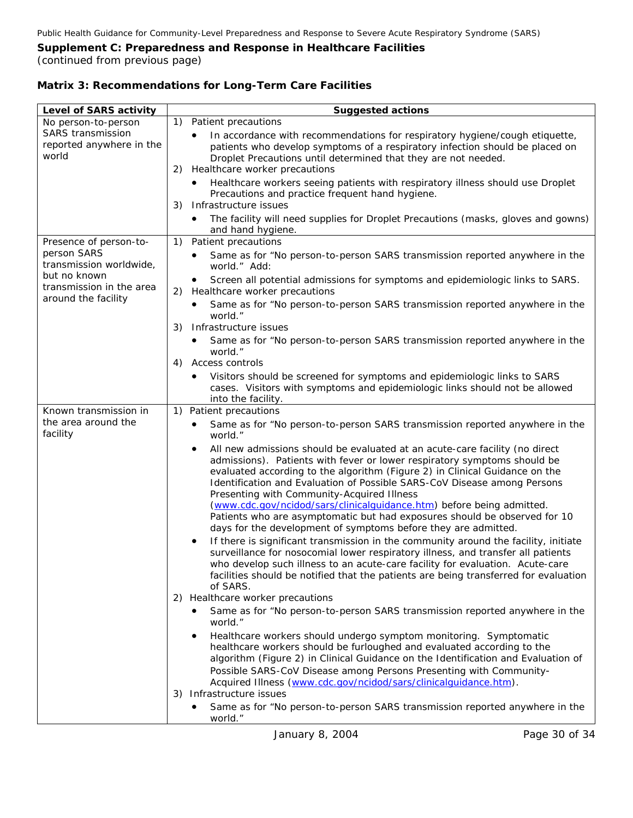(continued from previous page)

#### **Level of SARS activity** *Suggested actions*  No person-to-person SARS transmission reported anywhere in the world 1) Patient precautions • In accordance with recommendations for respiratory hygiene/cough etiquette, patients who develop symptoms of a respiratory infection should be placed on Droplet Precautions until determined that they are not needed. 2) Healthcare worker precautions • Healthcare workers seeing patients with respiratory illness should use Droplet Precautions and practice frequent hand hygiene. 3) Infrastructure issues • The facility will need supplies for Droplet Precautions (masks, gloves and gowns) and hand hygiene. Presence of person-toperson SARS transmission worldwide, but no known transmission in the area around the facility 1) Patient precautions Same as for "No person-to-person SARS transmission reported anywhere in the world." Add: • Screen all potential admissions for symptoms and epidemiologic links to SARS. 2) Healthcare worker precautions • Same as for "No person-to-person SARS transmission reported anywhere in the 3) Infrastructure issues • Same as for "No person-to-person SARS transmission reported anywhere in the 4) Access controls • cases. Visitors with symptoms and epidemiologic links should not be allowed world." world." Visitors should be screened for symptoms and epidemiologic links to SARS into the facility. Known transmission i n the area around the facility 1) Pati ent precautions • Same as for "No person-to-person SARS transmission reported anywhere in the • evaluated according to the algorithm (Figure 2) in *Clinical Guidance on the s Identification and Evaluation of Possible SARS-CoV Disease among Person* world." All new admissions should be evaluated at an acute-care facility (no direct admissions). Patients with fever or lower respiratory symptoms should be *Presenting with Community-Acquired Illness* [\(www.cdc.gov/ncidod/sars/clinicalguidance.htm](http://www.cdc.gov/ncidod/sars/clinicalguidance.htm)) before being admitted. • who develop such illness to an acute-care facility for evaluation. Acute-care facilities should be notified that the patients are being transferred for evaluation 2) Healthcare worker precautions • Same as for "No person-to-person SARS transmission reported anywhere in the • *valuation of* algorithm (Figure 2) in *Clinical Guidance on the Identification and E* Patients who are asymptomatic but had exposures should be observed for 10 days for the development of symptoms before they are admitted. If there is significant transmission in the community around the facility, initiate surveillance for nosocomial lower respiratory illness, and transfer all patients of SARS. world." Healthcare workers should undergo symptom monitoring. Symptomatic healthcare workers should be furloughed and evaluated according to the *Possible SARS-CoV Disease among Persons Presenting with Community-Acquired Illness* (www.cdc.gov/ncidod/sars/clinicalguidance.htm). 3) Infrastructure issues • Same as for "No person-to-person SARS transmission reported anywhere i n the world."

#### **Matrix 3: Recommendations for Long-Term Care Facilities**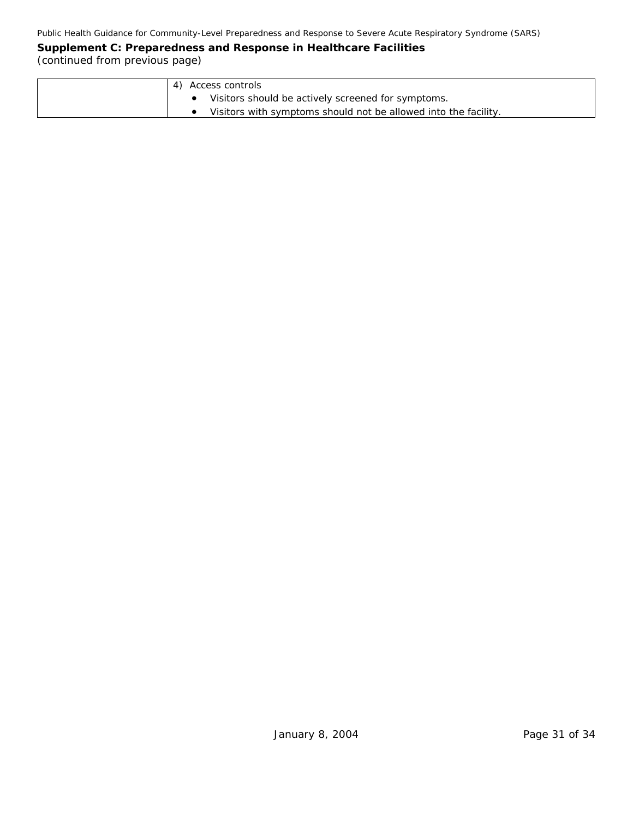| Access controls                                                 |
|-----------------------------------------------------------------|
| Visitors should be actively screened for symptoms.              |
| Visitors with symptoms should not be allowed into the facility. |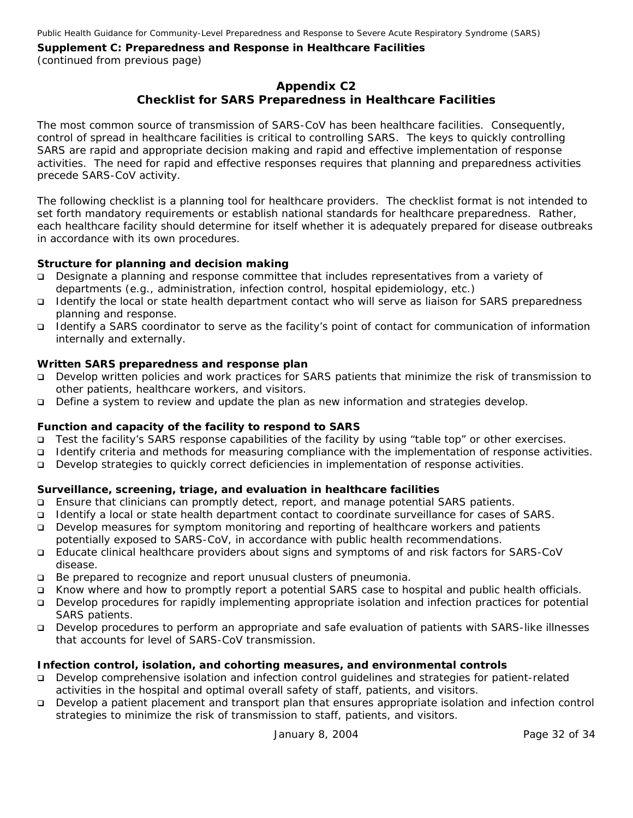## **Appendix C2 Checklist for SARS Preparedness in Healthcare Facilities**

The most common source of transmission of SARS-CoV has been healthcare facilities. Consequently, control of spread in healthcare facilities is critical to controlling SARS. The keys to quickly controlling SARS are rapid and appropriate decision making and rapid and effective implementation of response activities. The need for rapid and effective responses requires that planning and preparedness activities precede SARS-CoV activity.

The following checklist is a planning tool for healthcare providers. The checklist format is not intended to set forth mandatory requirements or establish national standards for healthcare preparedness. Rather, each healthcare facility should determine for itself whether it is adequately prepared for disease outbreaks in accordance with its own procedures.

#### **Structure for planning and decision making**

- Designate a planning and response committee that includes representatives from a variety of departments (e.g., administration, infection control, hospital epidemiology, etc.)
- □ Identify the local or state health department contact who will serve as liaison for SARS preparedness planning and response.
- Identify a SARS coordinator to serve as the facility's point of contact for communication of information internally and externally.

#### **Written SARS preparedness and response plan**

- Develop written policies and work practices for SARS patients that minimize the risk of transmission to other patients, healthcare workers, and visitors.
- Define a system to review and update the plan as new information and strategies develop.

#### **Function and capacity of the facility to respond to SARS**

- Test the facility's SARS response capabilities of the facility by using "table top" or other exercises.
- Identify criteria and methods for measuring compliance with the implementation of response activities.
- Develop strategies to quickly correct deficiencies in implementation of response activities.

#### **Surveillance, screening, triage, and evaluation in healthcare facilities**

- Ensure that clinicians can promptly detect, report, and manage potential SARS patients.
- Identify a local or state health department contact to coordinate surveillance for cases of SARS.
- Develop measures for symptom monitoring and reporting of healthcare workers and patients potentially exposed to SARS-CoV, in accordance with public health recommendations.
- Educate clinical healthcare providers about signs and symptoms of and risk factors for SARS-CoV disease.
- Be prepared to recognize and report unusual clusters of pneumonia.
- Know where and how to promptly report a potential SARS case to hospital and public health officials.
- Develop procedures for rapidly implementing appropriate isolation and infection practices for potential SARS patients.
- Develop procedures to perform an appropriate and safe evaluation of patients with SARS-like illnesses that accounts for level of SARS-CoV transmission.

#### **Infection control, isolation, and cohorting measures, and environmental controls**

- Develop comprehensive isolation and infection control guidelines and strategies for patient-related activities in the hospital and optimal overall safety of staff, patients, and visitors.
- Develop a patient placement and transport plan that ensures appropriate isolation and infection control strategies to minimize the risk of transmission to staff, patients, and visitors.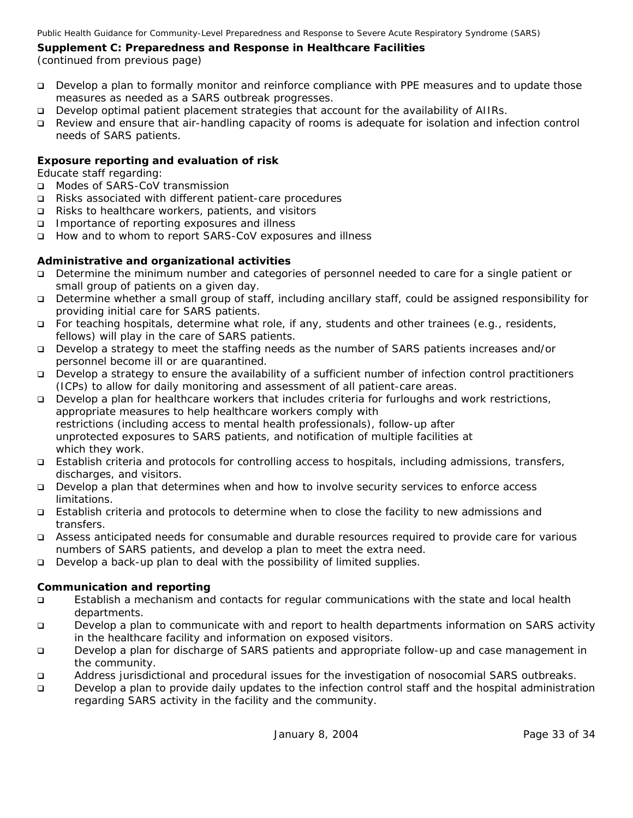(continued from previous page)

- Develop a plan to formally monitor and reinforce compliance with PPE measures and to update those measures as needed as a SARS outbreak progresses.
- Develop optimal patient placement strategies that account for the availability of AIIRs.
- Review and ensure that air-handling capacity of rooms is adequate for isolation and infection control needs of SARS patients.

#### **Exposure reporting and evaluation of risk**

Educate staff regarding:

- □ Modes of SARS-CoV transmission
- Risks associated with different patient-care procedures
- Risks to healthcare workers, patients, and visitors
- Importance of reporting exposures and illness
- How and to whom to report SARS-CoV exposures and illness

#### **Administrative and organizational activities**

- Determine the minimum number and categories of personnel needed to care for a single patient or small group of patients on a given day.
- Determine whether a small group of staff, including ancillary staff, could be assigned responsibility for providing initial care for SARS patients.
- For teaching hospitals, determine what role, if any, students and other trainees (e.g., residents, fellows) will play in the care of SARS patients.
- Develop a strategy to meet the staffing needs as the number of SARS patients increases and/or personnel become ill or are quarantined.
- Develop a strategy to ensure the availability of a sufficient number of infection control practitioners (ICPs) to allow for daily monitoring and assessment of all patient-care areas.
- Develop a plan for healthcare workers that includes criteria for furloughs and work restrictions, appropriate measures to help healthcare workers comply with restrictions (including access to mental health professionals), follow-up after unprotected exposures to SARS patients, and notification of multiple facilities at which they work.
- Establish criteria and protocols for controlling access to hospitals, including admissions, transfers, discharges, and visitors.
- Develop a plan that determines when and how to involve security services to enforce access limitations.
- Establish criteria and protocols to determine when to close the facility to new admissions and transfers.
- Assess anticipated needs for consumable and durable resources required to provide care for various numbers of SARS patients, and develop a plan to meet the extra need.
- Develop a back-up plan to deal with the possibility of limited supplies.

#### **Communication and reporting**

- Establish a mechanism and contacts for regular communications with the state and local health departments.
- Develop a plan to communicate with and report to health departments information on SARS activity in the healthcare facility and information on exposed visitors.
- Develop a plan for discharge of SARS patients and appropriate follow-up and case management in the community.
- Address jurisdictional and procedural issues for the investigation of nosocomial SARS outbreaks.
- Develop a plan to provide daily updates to the infection control staff and the hospital administration regarding SARS activity in the facility and the community.